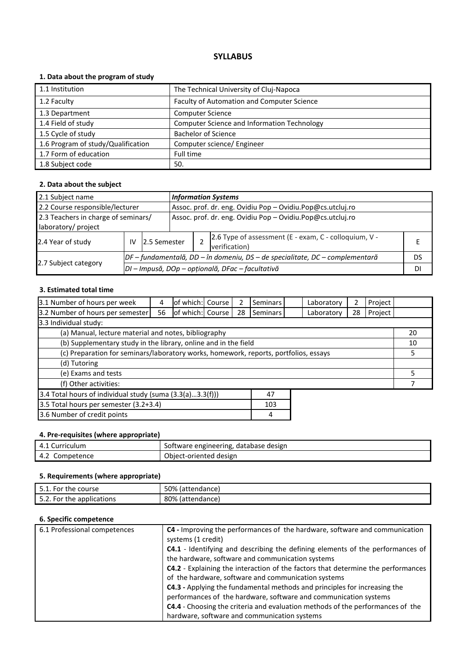# **1. Data about the program of study**

| 1.1 Institution                    | The Technical University of Cluj-Napoca            |
|------------------------------------|----------------------------------------------------|
| 1.2 Faculty                        | Faculty of Automation and Computer Science         |
| 1.3 Department                     | <b>Computer Science</b>                            |
| 1.4 Field of study                 | <b>Computer Science and Information Technology</b> |
| 1.5 Cycle of study                 | <b>Bachelor of Science</b>                         |
| 1.6 Program of study/Qualification | Computer science/ Engineer                         |
| 1.7 Form of education              | Full time                                          |
| 1.8 Subject code                   | 50.                                                |

### **2. Data about the subject**

| 2.1 Subject name                    |    |                                                  |                                                            | <b>Information Systems</b> |                                                                        |    |  |  |
|-------------------------------------|----|--------------------------------------------------|------------------------------------------------------------|----------------------------|------------------------------------------------------------------------|----|--|--|
| 2.2 Course responsible/lecturer     |    |                                                  | Assoc. prof. dr. eng. Ovidiu Pop - Ovidiu.Pop@cs.utcluj.ro |                            |                                                                        |    |  |  |
| 2.3 Teachers in charge of seminars/ |    |                                                  | Assoc. prof. dr. eng. Ovidiu Pop - Ovidiu.Pop@cs.utcluj.ro |                            |                                                                        |    |  |  |
| laboratory/ project                 |    |                                                  |                                                            |                            |                                                                        |    |  |  |
| 2.4 Year of study                   | IV | 12.5 Semester                                    |                                                            |                            | 2.6 Type of assessment (E - exam, C - colloquium, V -<br>verification) |    |  |  |
|                                     |    |                                                  |                                                            |                            | DF-fundamentală, DD-în domeniu, DS-de specialitate, DC-complementară   | DS |  |  |
| 2.7 Subject category                |    | DI - Impusă, DOp - opțională, DFac - facultativă |                                                            |                            |                                                                        | DI |  |  |

# **3. Estimated total time**

| 3.1 Number of hours per week                                                         | 4  | of which: Course |  | 2  | <b>Seminars</b> | Laboratory | 2  | Project |    |
|--------------------------------------------------------------------------------------|----|------------------|--|----|-----------------|------------|----|---------|----|
| 3.2 Number of hours per semester                                                     | 56 | of which: Course |  | 28 | Seminars        | Laboratory | 28 | Project |    |
| 3.3 Individual study:                                                                |    |                  |  |    |                 |            |    |         |    |
| (a) Manual, lecture material and notes, bibliography                                 |    |                  |  |    |                 |            |    |         | 20 |
| (b) Supplementary study in the library, online and in the field                      |    |                  |  |    |                 |            |    |         | 10 |
| (c) Preparation for seminars/laboratory works, homework, reports, portfolios, essays |    |                  |  |    | 5.              |            |    |         |    |
| (d) Tutoring                                                                         |    |                  |  |    |                 |            |    |         |    |
| (e) Exams and tests                                                                  |    |                  |  |    |                 | 5          |    |         |    |
| (f) Other activities:                                                                |    |                  |  |    |                 |            |    |         |    |
| 3.4 Total hours of individual study (suma (3.3(a)3.3(f)))<br>47                      |    |                  |  |    |                 |            |    |         |    |
| 3.5 Total hours per semester (3.2+3.4)<br>103                                        |    |                  |  |    |                 |            |    |         |    |
| 3.6 Number of credit points<br>4                                                     |    |                  |  |    |                 |            |    |         |    |

# **4. Pre-requisites (where appropriate)**

| 4.1<br>. Curriculum | Software engineering, database design |
|---------------------|---------------------------------------|
| 4.2<br>Competence   | Object-oriented design                |

# **5. Requirements (where appropriate)**

| 5.1. For the course       | 50% (attendance) |
|---------------------------|------------------|
| 5.2. For the applications | 80% (attendance) |

| 6.1 Professional competences | C4 - Improving the performances of the hardware, software and communication<br>systems (1 credit) |
|------------------------------|---------------------------------------------------------------------------------------------------|
|                              | C4.1 - Identifying and describing the defining elements of the performances of                    |
|                              | the hardware, software and communication systems                                                  |
|                              | C4.2 - Explaining the interaction of the factors that determine the performances                  |
|                              | of the hardware, software and communication systems                                               |
|                              | C4.3 - Applying the fundamental methods and principles for increasing the                         |
|                              | performances of the hardware, software and communication systems                                  |
|                              | <b>C4.4</b> - Choosing the criteria and evaluation methods of the performances of the             |
|                              | hardware, software and communication systems                                                      |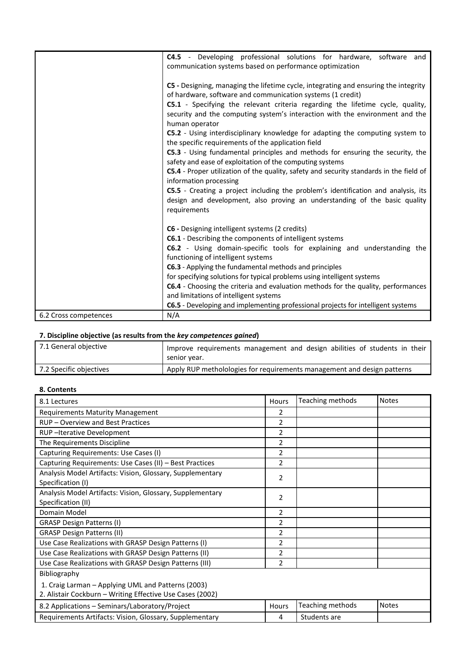|                       | C4.5 - Developing professional solutions for hardware, software and<br>communication systems based on performance optimization             |
|-----------------------|--------------------------------------------------------------------------------------------------------------------------------------------|
|                       | C5 - Designing, managing the lifetime cycle, integrating and ensuring the integrity                                                        |
|                       | of hardware, software and communication systems (1 credit)                                                                                 |
|                       | C5.1 - Specifying the relevant criteria regarding the lifetime cycle, quality,                                                             |
|                       | security and the computing system's interaction with the environment and the<br>human operator                                             |
|                       | <b>C5.2</b> - Using interdisciplinary knowledge for adapting the computing system to<br>the specific requirements of the application field |
|                       | C5.3 - Using fundamental principles and methods for ensuring the security, the<br>safety and ease of exploitation of the computing systems |
|                       | C5.4 - Proper utilization of the quality, safety and security standards in the field of                                                    |
|                       | information processing                                                                                                                     |
|                       | C5.5 - Creating a project including the problem's identification and analysis, its                                                         |
|                       | design and development, also proving an understanding of the basic quality                                                                 |
|                       | requirements                                                                                                                               |
|                       | C6 - Designing intelligent systems (2 credits)                                                                                             |
|                       | C6.1 - Describing the components of intelligent systems                                                                                    |
|                       | C6.2 - Using domain-specific tools for explaining and understanding the<br>functioning of intelligent systems                              |
|                       | C6.3 - Applying the fundamental methods and principles                                                                                     |
|                       | for specifying solutions for typical problems using intelligent systems                                                                    |
|                       | C6.4 - Choosing the criteria and evaluation methods for the quality, performances                                                          |
|                       | and limitations of intelligent systems                                                                                                     |
|                       | C6.5 - Developing and implementing professional projects for intelligent systems                                                           |
| 6.2 Cross competences | N/A                                                                                                                                        |

| 7.1 General objective   | Improve requirements management and design abilities of students in their<br>senior year. |
|-------------------------|-------------------------------------------------------------------------------------------|
| 7.2 Specific objectives | Apply RUP metholologies for requirements management and design patterns                   |

#### **8. Contents**

| 8.1 Lectures                                                                                                    | Hours          | Teaching methods | <b>Notes</b> |
|-----------------------------------------------------------------------------------------------------------------|----------------|------------------|--------------|
| <b>Requirements Maturity Management</b>                                                                         | 2              |                  |              |
| RUP - Overview and Best Practices                                                                               | $\overline{2}$ |                  |              |
| RUP-Iterative Development                                                                                       | $\overline{2}$ |                  |              |
| The Requirements Discipline                                                                                     | $\overline{2}$ |                  |              |
| Capturing Requirements: Use Cases (I)                                                                           | $\overline{2}$ |                  |              |
| Capturing Requirements: Use Cases (II) - Best Practices                                                         | $\overline{2}$ |                  |              |
| Analysis Model Artifacts: Vision, Glossary, Supplementary<br>Specification (I)                                  | $\overline{2}$ |                  |              |
| Analysis Model Artifacts: Vision, Glossary, Supplementary<br>Specification (II)                                 | $\overline{2}$ |                  |              |
| Domain Model                                                                                                    | $\overline{2}$ |                  |              |
| <b>GRASP Design Patterns (I)</b>                                                                                | $\overline{2}$ |                  |              |
| <b>GRASP Design Patterns (II)</b>                                                                               | 2              |                  |              |
| Use Case Realizations with GRASP Design Patterns (I)                                                            | 2              |                  |              |
| Use Case Realizations with GRASP Design Patterns (II)                                                           | $\overline{2}$ |                  |              |
| Use Case Realizations with GRASP Design Patterns (III)                                                          | $\overline{2}$ |                  |              |
| Bibliography                                                                                                    |                |                  |              |
| 1. Craig Larman - Applying UML and Patterns (2003)<br>2. Alistair Cockburn - Writing Effective Use Cases (2002) |                |                  |              |
| 8.2 Applications - Seminars/Laboratory/Project                                                                  | Hours          | Teaching methods | <b>Notes</b> |
| Requirements Artifacts: Vision, Glossary, Supplementary                                                         | 4              | Students are     |              |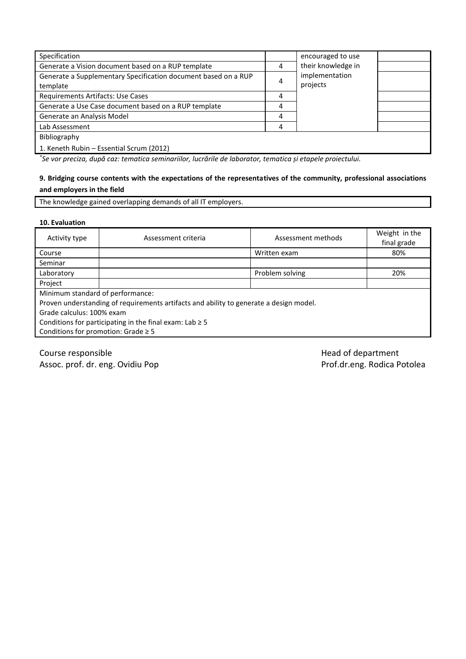| Specification                                                  |   | encouraged to use  |  |
|----------------------------------------------------------------|---|--------------------|--|
| Generate a Vision document based on a RUP template             | 4 | their knowledge in |  |
| Generate a Supplementary Specification document based on a RUP | 4 | implementation     |  |
| template                                                       |   | projects           |  |
| Requirements Artifacts: Use Cases                              | 4 |                    |  |
| Generate a Use Case document based on a RUP template           |   |                    |  |
| Generate an Analysis Model                                     | 4 |                    |  |
| Lab Assessment                                                 | 4 |                    |  |
| Bibliography                                                   |   |                    |  |
| 1. Keneth Rubin - Essential Scrum (2012)                       |   |                    |  |

*\* Se vor preciza, după caz: tematica seminariilor, lucrările de laborator, tematica și etapele proiectului.*

# **9. Bridging course contents with the expectations of the representatives of the community, professional associations and employers in the field**

The knowledge gained overlapping demands of all IT employers.

### **10. Evaluation**

| Activity type                                                                          | Assessment criteria | Assessment methods | Weight in the<br>final grade |  |  |
|----------------------------------------------------------------------------------------|---------------------|--------------------|------------------------------|--|--|
| Course                                                                                 |                     | Written exam       | 80%                          |  |  |
| Seminar                                                                                |                     |                    |                              |  |  |
| Laboratory                                                                             |                     | Problem solving    | 20%                          |  |  |
| Project                                                                                |                     |                    |                              |  |  |
| Minimum standard of performance:                                                       |                     |                    |                              |  |  |
| Proven understanding of requirements artifacts and ability to generate a design model. |                     |                    |                              |  |  |
| Grade calculus: 100% exam                                                              |                     |                    |                              |  |  |
| Conditions for participating in the final exam: Lab $\geq$ 5                           |                     |                    |                              |  |  |
| Conditions for promotion: Grade $\geq 5$                                               |                     |                    |                              |  |  |
|                                                                                        |                     |                    |                              |  |  |

Course responsible and the exponsible department Assoc. prof. dr. eng. Ovidiu Pop Prof.dr.eng. Rodica Potolea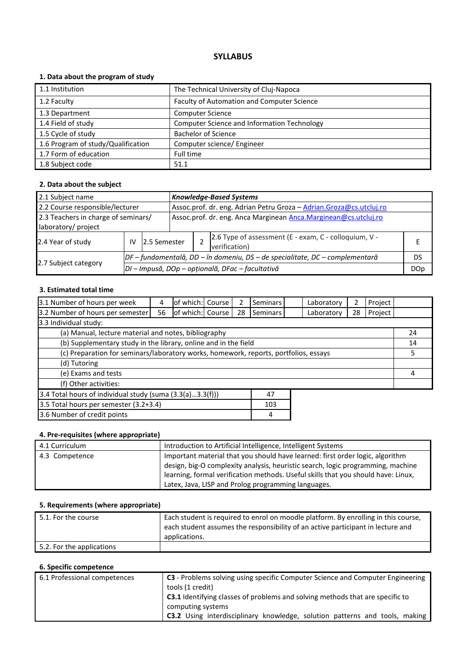# **1. Data about the program of study**

| 1.1 Institution                    | The Technical University of Cluj-Napoca            |
|------------------------------------|----------------------------------------------------|
| 1.2 Faculty                        | Faculty of Automation and Computer Science         |
| 1.3 Department                     | <b>Computer Science</b>                            |
| 1.4 Field of study                 | <b>Computer Science and Information Technology</b> |
| 1.5 Cycle of study                 | <b>Bachelor of Science</b>                         |
| 1.6 Program of study/Qualification | Computer science/ Engineer                         |
| 1.7 Form of education              | Full time                                          |
| 1.8 Subject code                   | 51.1                                               |

### **2. Data about the subject**

| 2.1 Subject name                    |    |               |                                                                     | <b>Knowledge-Based Systems</b>                                                 |                                                                        |            |  |  |
|-------------------------------------|----|---------------|---------------------------------------------------------------------|--------------------------------------------------------------------------------|------------------------------------------------------------------------|------------|--|--|
| 2.2 Course responsible/lecturer     |    |               | Assoc.prof. dr. eng. Adrian Petru Groza - Adrian.Groza@cs.utcluj.ro |                                                                                |                                                                        |            |  |  |
| 2.3 Teachers in charge of seminars/ |    |               | Assoc.prof. dr. eng. Anca Marginean Anca.Marginean@cs.utcluj.ro     |                                                                                |                                                                        |            |  |  |
| laboratory/ project                 |    |               |                                                                     |                                                                                |                                                                        |            |  |  |
| 2.4 Year of study                   | IV | 12.5 Semester |                                                                     |                                                                                | 2.6 Type of assessment (E - exam, C - colloquium, V -<br>verification) |            |  |  |
|                                     |    |               |                                                                     | $DF$ – fundamentală, DD – în domeniu, DS – de specialitate, DC – complementară |                                                                        |            |  |  |
| 2.7 Subject category                |    |               |                                                                     |                                                                                | DI - Impusă, DOp - opțională, DFac - facultativă                       | <b>DOp</b> |  |  |

# **3. Estimated total time**

| 3.1 Number of hours per week                                                         | 4  | of which: Course |  | 2  | <b>Seminars</b> | Laboratory | 2  | Project |    |
|--------------------------------------------------------------------------------------|----|------------------|--|----|-----------------|------------|----|---------|----|
| 3.2 Number of hours per semester                                                     | 56 | of which: Course |  | 28 | Seminars        | Laboratory | 28 | Project |    |
| 3.3 Individual study:                                                                |    |                  |  |    |                 |            |    |         |    |
| (a) Manual, lecture material and notes, bibliography                                 |    |                  |  |    |                 |            |    |         | 24 |
| (b) Supplementary study in the library, online and in the field                      |    |                  |  |    |                 |            |    |         | 14 |
| (c) Preparation for seminars/laboratory works, homework, reports, portfolios, essays |    |                  |  |    | 5               |            |    |         |    |
| (d) Tutoring                                                                         |    |                  |  |    |                 |            |    |         |    |
| (e) Exams and tests                                                                  |    |                  |  |    |                 | 4          |    |         |    |
| (f) Other activities:                                                                |    |                  |  |    |                 |            |    |         |    |
| 3.4 Total hours of individual study (suma $(3.3(a)3.3(f)))$<br>47                    |    |                  |  |    |                 |            |    |         |    |
| 3.5 Total hours per semester (3.2+3.4)<br>103                                        |    |                  |  |    |                 |            |    |         |    |
| 3.6 Number of credit points<br>4                                                     |    |                  |  |    |                 |            |    |         |    |

# **4. Pre-requisites (where appropriate)**

| 4.1 Curriculum | Introduction to Artificial Intelligence, Intelligent Systems                      |
|----------------|-----------------------------------------------------------------------------------|
| 4.3 Competence | Important material that you should have learned: first order logic, algorithm     |
|                | design, big-O complexity analysis, heuristic search, logic programming, machine   |
|                | learning, formal verification methods. Useful skills that you should have: Linux, |
|                | Latex, Java, LISP and Prolog programming languages.                               |

### **5. Requirements (where appropriate)**

| 5.1. For the course       | Each student is required to enrol on moodle platform. By enrolling in this course,<br>each student assumes the responsibility of an active participant in lecture and<br>applications. |
|---------------------------|----------------------------------------------------------------------------------------------------------------------------------------------------------------------------------------|
|                           |                                                                                                                                                                                        |
| 5.2. For the applications |                                                                                                                                                                                        |

| 6.1 Professional competences | <b>C3</b> - Problems solving using specific Computer Science and Computer Engineering |
|------------------------------|---------------------------------------------------------------------------------------|
|                              | tools (1 credit)                                                                      |
|                              | <b>C3.1</b> Identifying classes of problems and solving methods that are specific to  |
|                              | computing systems                                                                     |
|                              | C3.2 Using interdisciplinary knowledge, solution patterns and tools, making           |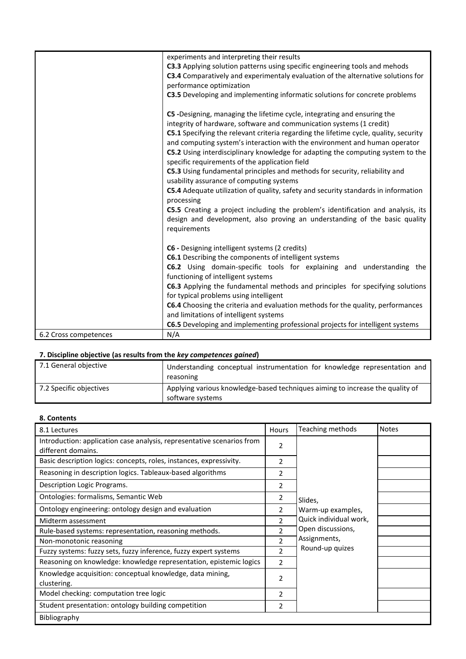|                       | experiments and interpreting their results                                                                                        |
|-----------------------|-----------------------------------------------------------------------------------------------------------------------------------|
|                       | C3.3 Applying solution patterns using specific engineering tools and mehods                                                       |
|                       | C3.4 Comparatively and experimentaly evaluation of the alternative solutions for                                                  |
|                       | performance optimization                                                                                                          |
|                       | C3.5 Developing and implementing informatic solutions for concrete problems                                                       |
|                       |                                                                                                                                   |
|                       | C5 -Designing, managing the lifetime cycle, integrating and ensuring the                                                          |
|                       | integrity of hardware, software and communication systems (1 credit)                                                              |
|                       | C5.1 Specifying the relevant criteria regarding the lifetime cycle, quality, security                                             |
|                       | and computing system's interaction with the environment and human operator                                                        |
|                       | C5.2 Using interdisciplinary knowledge for adapting the computing system to the<br>specific requirements of the application field |
|                       | C5.3 Using fundamental principles and methods for security, reliability and                                                       |
|                       | usability assurance of computing systems                                                                                          |
|                       | C5.4 Adequate utilization of quality, safety and security standards in information                                                |
|                       | processing                                                                                                                        |
|                       | <b>C5.5</b> Creating a project including the problem's identification and analysis, its                                           |
|                       | design and development, also proving an understanding of the basic quality                                                        |
|                       | requirements                                                                                                                      |
|                       |                                                                                                                                   |
|                       | C6 - Designing intelligent systems (2 credits)                                                                                    |
|                       | C6.1 Describing the components of intelligent systems                                                                             |
|                       | C6.2 Using domain-specific tools for explaining and understanding the                                                             |
|                       | functioning of intelligent systems                                                                                                |
|                       | C6.3 Applying the fundamental methods and principles for specifying solutions                                                     |
|                       | for typical problems using intelligent                                                                                            |
|                       | C6.4 Choosing the criteria and evaluation methods for the quality, performances                                                   |
|                       | and limitations of intelligent systems                                                                                            |
|                       | C6.5 Developing and implementing professional projects for intelligent systems                                                    |
| 6.2 Cross competences | N/A                                                                                                                               |
|                       |                                                                                                                                   |

| 7.1 General objective   | Understanding conceptual instrumentation for knowledge representation and<br>reasoning            |
|-------------------------|---------------------------------------------------------------------------------------------------|
| 7.2 Specific objectives | Applying various knowledge-based techniques aiming to increase the quality of<br>software systems |

# **8. Contents**

| 8.1 Lectures                                                                                 | Hours          | Teaching methods       | <b>Notes</b> |
|----------------------------------------------------------------------------------------------|----------------|------------------------|--------------|
| Introduction: application case analysis, representative scenarios from<br>different domains. | 2              |                        |              |
| Basic description logics: concepts, roles, instances, expressivity.                          | 2              |                        |              |
| Reasoning in description logics. Tableaux-based algorithms                                   | 2              |                        |              |
| Description Logic Programs.                                                                  | 2              |                        |              |
| Ontologies: formalisms, Semantic Web                                                         | 2              | Slides,                |              |
| Ontology engineering: ontology design and evaluation                                         | 2              | Warm-up examples,      |              |
| Midterm assessment                                                                           | 2              | Quick individual work, |              |
| Rule-based systems: representation, reasoning methods.                                       | $\overline{2}$ | Open discussions,      |              |
| Non-monotonic reasoning                                                                      | $\mathcal{P}$  | Assignments,           |              |
| Fuzzy systems: fuzzy sets, fuzzy inference, fuzzy expert systems                             | $\mathfrak{p}$ | Round-up quizes        |              |
| Reasoning on knowledge: knowledge representation, epistemic logics                           | 2              |                        |              |
| Knowledge acquisition: conceptual knowledge, data mining,<br>clustering.                     | 2              |                        |              |
| Model checking: computation tree logic                                                       | 2              |                        |              |
| Student presentation: ontology building competition                                          | 2              |                        |              |
| Bibliography                                                                                 |                |                        |              |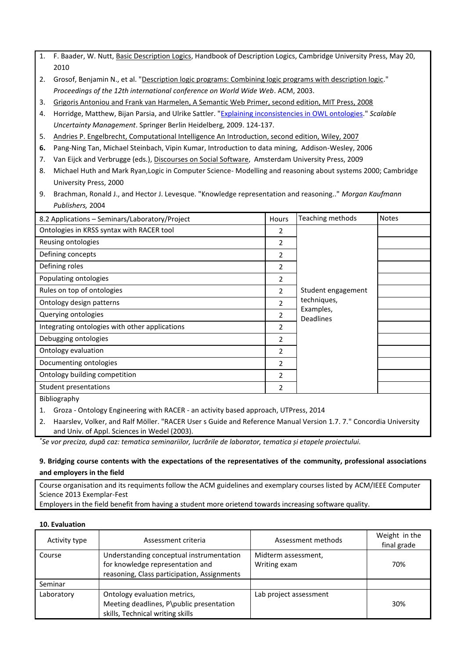- 1. F. Baader, W. Nutt, [Basic Description Logics,](https://www.google.ro/url?sa=t&rct=j&q=&esrc=s&source=web&cd=1&cad=rja&uact=8&ved=0CCAQFjAA&url=https%3A%2F%2Fwww.inf.unibz.it%2F~franconi%2Fdl%2Fcourse%2Fdlhb%2Fdlhb-02.pdf&ei=d8EKVaqSOcr5asSygrAE&usg=AFQjCNH46M6Vh01GE6Z6zhajePPVd99cdg&sig2=dXrmgk8imkctFS4-aP4waA&bvm=bv.88528373,d.d2s) Handbook of Description Logics, Cambridge University Press, May 20, 2010
- 2. Grosof, Benjamin N., et al. ["Description logic programs: Combining logic programs with description logic.](http://dl.acm.org/citation.cfm?id=775160)" *Proceedings of the 12th international conference on World Wide Web*. ACM, 2003.
- 3. [Grigoris Antoniou and Frank van Harmelen, A Semantic Web Primer, second edition, MIT Press, 2008](http://www.coma.fsb.hr/katedra/download/A%20Semantic%20Web%20Primer.pdf)
- 4. Horridge, Matthew, Bijan Parsia, and Ulrike Sattler. ["Explaining inconsistencies in OWL ontologies.](http://www.cs.man.ac.uk/~horridgm/papers/2009/sum/HoPaSa09c.pdf)" *Scalable Uncertainty Management*. Springer Berlin Heidelberg, 2009. 124-137.
- 5. [Andries P. Engelbrecht, Computational Intelligence An Introduction, second edition, Wiley, 2007](http://www.google.ro/url?sa=t&rct=j&q=&esrc=s&source=web&cd=3&ved=0CDYQFjAC&url=http%3A%2F%2Fengold.ui.ac.ir%2F~shahbazi%2FBooks%2F4-Computational%2520Intelligence.pdf&ei=WS74VNmlHMnyUqafhLAO&usg=AFQjCNGgTn9zdwY6D4icpMTpNoErqD4yRw&bvm=bv.87519884,d.d24&cad=rja)
- **6.** Pang-Ning Tan, Michael Steinbach, Vipin Kumar, Introduction to data mining, Addison-Wesley, 2006
- 7. Van Eijck and Verbrugge (eds.), [Discourses on Social Software,](http://homepages.cwi.nl/~jve/dss/) Amsterdam University Press, 2009
- 8. Michael Huth and Mark Ryan,Logic in Computer Science- Modelling and reasoning about systems 2000; Cambridge University Press, 2000
- 9. Brachman, Ronald J., and Hector J. Levesque. "Knowledge representation and reasoning.." *Morgan Kaufmann Publishers,* 2004

| 8.2 Applications - Seminars/Laboratory/Project | Hours          | Teaching methods                  | <b>Notes</b> |
|------------------------------------------------|----------------|-----------------------------------|--------------|
| Ontologies in KRSS syntax with RACER tool      | 2              |                                   |              |
| Reusing ontologies                             | $\overline{2}$ |                                   |              |
| Defining concepts                              | 2              |                                   |              |
| Defining roles                                 | 2              |                                   |              |
| Populating ontologies                          | 2              |                                   |              |
| Rules on top of ontologies                     | 2              | Student engagement<br>techniques, |              |
| Ontology design patterns                       | $\mathfrak{p}$ |                                   |              |
| Querying ontologies                            | 2              | Examples,<br><b>Deadlines</b>     |              |
| Integrating ontologies with other applications | 2              |                                   |              |
| Debugging ontologies                           | 2              |                                   |              |
| Ontology evaluation                            | 2              |                                   |              |
| Documenting ontologies                         | 2              |                                   |              |
| Ontology building competition                  | 2              |                                   |              |
| Student presentations                          | 2              |                                   |              |
| المطموع ويستعمل والملثا                        |                |                                   |              |

Bibliography

- 1. Groza Ontology Engineering with RACER an activity based approach, UTPress, 2014
- 2. Haarslev, Volker, and Ralf Möller. "RACER User s Guide and Reference Manual Version 1.7. 7." Concordia University and Univ. of Appl. Sciences in Wedel (2003).

*\* Se vor preciza, după caz: tematica seminariilor, lucrările de laborator, tematica și etapele proiectului.*

# **9. Bridging course contents with the expectations of the representatives of the community, professional associations and employers in the field**

Course organisation and its requiments follow the ACM guidelines and exemplary courses listed by ACM/IEEE Computer Science 2013 Exemplar-Fest

Employers in the field benefit from having a student more orietend towards increasing software quality.

#### **10. Evaluation**

| Activity type | Assessment criteria                                                                                                         | Assessment methods                  | Weight in the<br>final grade |
|---------------|-----------------------------------------------------------------------------------------------------------------------------|-------------------------------------|------------------------------|
| Course        | Understanding conceptual instrumentation<br>for knowledge representation and<br>reasoning, Class participation, Assignments | Midterm assessment,<br>Writing exam | 70%                          |
| Seminar       |                                                                                                                             |                                     |                              |
| Laboratory    | Ontology evaluation metrics,<br>Meeting deadlines, P\public presentation<br>skills, Technical writing skills                | Lab project assessment              | 30%                          |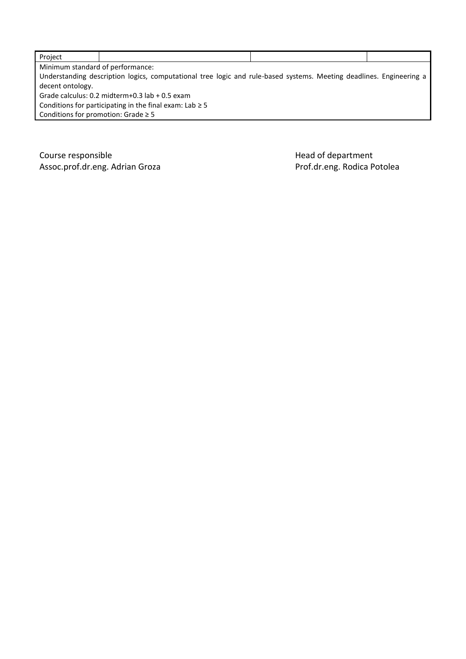| Project                                                      |                                                                                                                     |  |  |  |  |
|--------------------------------------------------------------|---------------------------------------------------------------------------------------------------------------------|--|--|--|--|
|                                                              | Minimum standard of performance:                                                                                    |  |  |  |  |
|                                                              | Understanding description logics, computational tree logic and rule-based systems. Meeting deadlines. Engineering a |  |  |  |  |
| decent ontology.                                             |                                                                                                                     |  |  |  |  |
| Grade calculus: $0.2$ midterm+0.3 lab + 0.5 exam             |                                                                                                                     |  |  |  |  |
| Conditions for participating in the final exam: Lab $\geq$ 5 |                                                                                                                     |  |  |  |  |
| Conditions for promotion: Grade $\geq$ 5                     |                                                                                                                     |  |  |  |  |

Course responsible<br>
Assoc.prof.dr.eng. Adrian Groza<br>
Assoc.prof.dr.eng. Adrian Groza Assoc.prof.dr.eng. Adrian Groza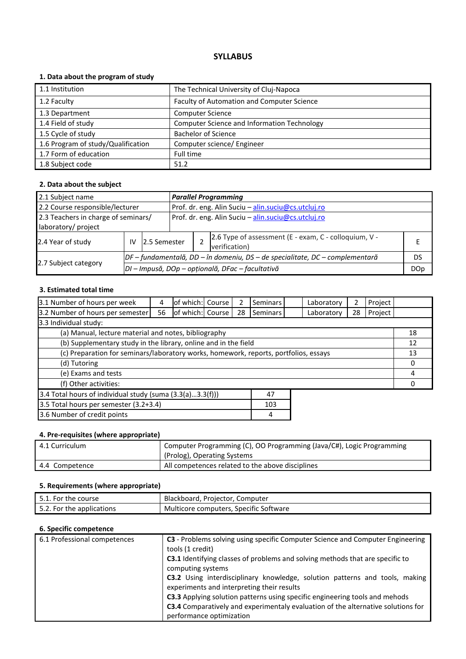# **1. Data about the program of study**

| 1.1 Institution                    | The Technical University of Cluj-Napoca            |
|------------------------------------|----------------------------------------------------|
| 1.2 Faculty                        | Faculty of Automation and Computer Science         |
| 1.3 Department                     | <b>Computer Science</b>                            |
| 1.4 Field of study                 | <b>Computer Science and Information Technology</b> |
| 1.5 Cycle of study                 | <b>Bachelor of Science</b>                         |
| 1.6 Program of study/Qualification | Computer science/ Engineer                         |
| 1.7 Form of education              | Full time                                          |
| 1.8 Subject code                   | 51.2                                               |

### **2. Data about the subject**

| 2.1 Subject name                    |                                                                              |                                                  |  | <b>Parallel Programming</b>                         |                                                                        |    |  |  |
|-------------------------------------|------------------------------------------------------------------------------|--------------------------------------------------|--|-----------------------------------------------------|------------------------------------------------------------------------|----|--|--|
| 2.2 Course responsible/lecturer     |                                                                              |                                                  |  | Prof. dr. eng. Alin Suciu - alin.suciu@cs.utcluj.ro |                                                                        |    |  |  |
| 2.3 Teachers in charge of seminars/ |                                                                              |                                                  |  | Prof. dr. eng. Alin Suciu - alin.suciu@cs.utcluj.ro |                                                                        |    |  |  |
| laboratory/ project                 |                                                                              |                                                  |  |                                                     |                                                                        |    |  |  |
| 2.4 Year of study                   | IV                                                                           | 12.5 Semester                                    |  |                                                     | 2.6 Type of assessment (E - exam, C - colloquium, V -<br>verification) |    |  |  |
|                                     | DF – fundamentală, DD – în domeniu, DS – de specialitate, DC – complementară |                                                  |  |                                                     |                                                                        | DS |  |  |
| 2.7 Subject category                |                                                                              | DI - Impusă, DOp - opțională, DFac - facultativă |  |                                                     |                                                                        |    |  |  |

# **3. Estimated total time**

| 3.1 Number of hours per week                                                         | 4  | of which: Course |  | 2  | <b>Seminars</b> |  | Laboratory | 2        | Project |    |
|--------------------------------------------------------------------------------------|----|------------------|--|----|-----------------|--|------------|----------|---------|----|
| 3.2 Number of hours per semester                                                     | 56 | of which: Course |  | 28 | <b>Seminars</b> |  | Laboratory | 28       | Project |    |
| 3.3 Individual study:                                                                |    |                  |  |    |                 |  |            |          |         |    |
| (a) Manual, lecture material and notes, bibliography                                 |    |                  |  |    |                 |  |            |          |         | 18 |
| (b) Supplementary study in the library, online and in the field                      |    |                  |  |    |                 |  |            |          |         | 12 |
| (c) Preparation for seminars/laboratory works, homework, reports, portfolios, essays |    |                  |  |    |                 |  | 13         |          |         |    |
| (d) Tutoring                                                                         |    |                  |  |    |                 |  |            | 0        |         |    |
| (e) Exams and tests                                                                  |    |                  |  |    |                 |  |            | 4        |         |    |
| (f) Other activities:                                                                |    |                  |  |    |                 |  |            | $\Omega$ |         |    |
| 3.4 Total hours of individual study (suma (3.3(a)3.3(f)))<br>47                      |    |                  |  |    |                 |  |            |          |         |    |
| 3.5 Total hours per semester (3.2+3.4)<br>103                                        |    |                  |  |    |                 |  |            |          |         |    |
| 3.6 Number of credit points                                                          |    |                  |  |    | 4               |  |            |          |         |    |

# **4. Pre-requisites (where appropriate)**

| 4.1 Curriculum | Computer Programming (C), OO Programming (Java/C#), Logic Programming<br>(Prolog), Operating Systems |
|----------------|------------------------------------------------------------------------------------------------------|
| 4.4 Competence | All competences related to the above disciplines                                                     |

# **5. Requirements (where appropriate)**

| 5.1. For the course       | Blackboard, Projector, Computer        |
|---------------------------|----------------------------------------|
| 5.2. For the applications | Multicore computers, Specific Software |

| 6.1 Professional competences | C3 - Problems solving using specific Computer Science and Computer Engineering<br>tools (1 credit)<br>C3.1 Identifying classes of problems and solving methods that are specific to<br>computing systems |
|------------------------------|----------------------------------------------------------------------------------------------------------------------------------------------------------------------------------------------------------|
|                              | C3.2 Using interdisciplinary knowledge, solution patterns and tools, making<br>experiments and interpreting their results                                                                                |
|                              | C3.3 Applying solution patterns using specific engineering tools and mehods                                                                                                                              |
|                              | C3.4 Comparatively and experimentaly evaluation of the alternative solutions for<br>performance optimization                                                                                             |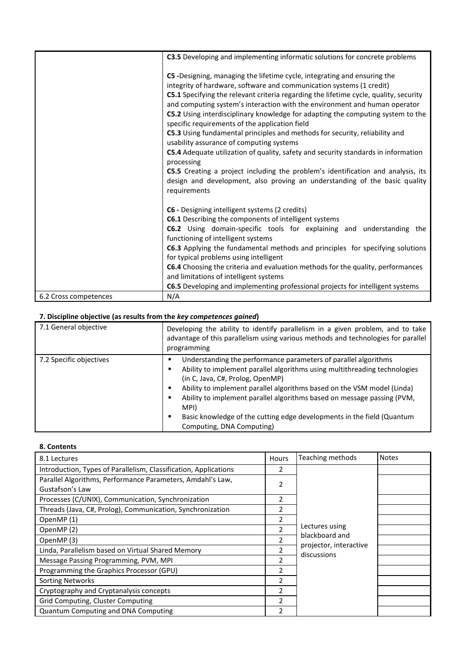|                       | C3.5 Developing and implementing informatic solutions for concrete problems                                                                                                                                                                                                                                                                                                                                                                                                                                                                                                                                                                                                                 |
|-----------------------|---------------------------------------------------------------------------------------------------------------------------------------------------------------------------------------------------------------------------------------------------------------------------------------------------------------------------------------------------------------------------------------------------------------------------------------------------------------------------------------------------------------------------------------------------------------------------------------------------------------------------------------------------------------------------------------------|
|                       | C5 -Designing, managing the lifetime cycle, integrating and ensuring the<br>integrity of hardware, software and communication systems (1 credit)<br>C5.1 Specifying the relevant criteria regarding the lifetime cycle, quality, security<br>and computing system's interaction with the environment and human operator<br>C5.2 Using interdisciplinary knowledge for adapting the computing system to the<br>specific requirements of the application field<br>C5.3 Using fundamental principles and methods for security, reliability and<br>usability assurance of computing systems<br>C5.4 Adequate utilization of quality, safety and security standards in information<br>processing |
|                       | C5.5 Creating a project including the problem's identification and analysis, its<br>design and development, also proving an understanding of the basic quality<br>requirements                                                                                                                                                                                                                                                                                                                                                                                                                                                                                                              |
|                       | C6 - Designing intelligent systems (2 credits)                                                                                                                                                                                                                                                                                                                                                                                                                                                                                                                                                                                                                                              |
|                       | <b>C6.1</b> Describing the components of intelligent systems                                                                                                                                                                                                                                                                                                                                                                                                                                                                                                                                                                                                                                |
|                       | C6.2 Using domain-specific tools for explaining and understanding the<br>functioning of intelligent systems                                                                                                                                                                                                                                                                                                                                                                                                                                                                                                                                                                                 |
|                       | C6.3 Applying the fundamental methods and principles for specifying solutions<br>for typical problems using intelligent                                                                                                                                                                                                                                                                                                                                                                                                                                                                                                                                                                     |
|                       | C6.4 Choosing the criteria and evaluation methods for the quality, performances                                                                                                                                                                                                                                                                                                                                                                                                                                                                                                                                                                                                             |
|                       | and limitations of intelligent systems                                                                                                                                                                                                                                                                                                                                                                                                                                                                                                                                                                                                                                                      |
|                       | C6.5 Developing and implementing professional projects for intelligent systems                                                                                                                                                                                                                                                                                                                                                                                                                                                                                                                                                                                                              |
| 6.2 Cross competences | N/A                                                                                                                                                                                                                                                                                                                                                                                                                                                                                                                                                                                                                                                                                         |

| 7.1 General objective   | Developing the ability to identify parallelism in a given problem, and to take<br>advantage of this parallelism using various methods and technologies for parallel<br>programming                                                                                                                                                                                                                                                                                         |  |  |  |  |
|-------------------------|----------------------------------------------------------------------------------------------------------------------------------------------------------------------------------------------------------------------------------------------------------------------------------------------------------------------------------------------------------------------------------------------------------------------------------------------------------------------------|--|--|--|--|
| 7.2 Specific objectives | Understanding the performance parameters of parallel algorithms<br>Ability to implement parallel algorithms using multithreading technologies<br>٠<br>(in C, Java, C#, Prolog, OpenMP)<br>Ability to implement parallel algorithms based on the VSM model (Linda)<br>٠<br>Ability to implement parallel algorithms based on message passing (PVM,<br>٠<br>MPI)<br>Basic knowledge of the cutting edge developments in the field (Quantum<br>٠<br>Computing, DNA Computing) |  |  |  |  |

## **8. Contents**

| 8.1 Lectures                                                                  | <b>Hours</b>             | Teaching methods                      | <b>Notes</b> |
|-------------------------------------------------------------------------------|--------------------------|---------------------------------------|--------------|
| Introduction, Types of Parallelism, Classification, Applications              | 2                        |                                       |              |
| Parallel Algorithms, Performance Parameters, Amdahl's Law,<br>Gustafson's Law | $\overline{2}$           |                                       |              |
| Processes (C/UNIX), Communication, Synchronization                            | $\overline{2}$           |                                       |              |
| Threads (Java, C#, Prolog), Communication, Synchronization                    | 2                        |                                       |              |
| OpenMP(1)                                                                     | 2                        |                                       |              |
| OpenMP(2)                                                                     | $\overline{\phantom{a}}$ | Lectures using<br>blackboard and      |              |
| OpenMP(3)                                                                     | $\overline{\phantom{a}}$ |                                       |              |
| Linda, Parallelism based on Virtual Shared Memory                             | 2                        | projector, interactive<br>discussions |              |
| Message Passing Programming, PVM, MPI                                         | $\overline{\phantom{a}}$ |                                       |              |
| Programming the Graphics Processor (GPU)                                      | 2                        |                                       |              |
| <b>Sorting Networks</b>                                                       | 2                        |                                       |              |
| Cryptography and Cryptanalysis concepts                                       | $\overline{\mathbf{z}}$  |                                       |              |
| Grid Computing, Cluster Computing                                             | 2                        |                                       |              |
| <b>Quantum Computing and DNA Computing</b>                                    | $\mathfrak{p}$           |                                       |              |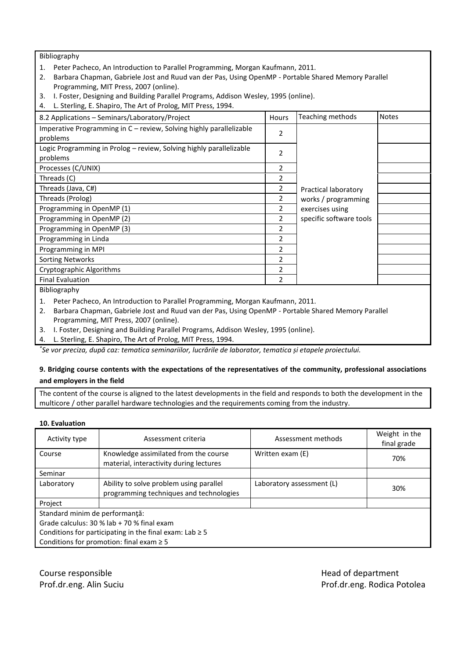Bibliography

- 1. Peter Pacheco, An Introduction to Parallel Programming, Morgan Kaufmann, 2011.
- 2. Barbara Chapman, Gabriele Jost and Ruud van der Pas, Using OpenMP Portable Shared Memory Parallel Programming, MIT Press, 2007 (online).
- 3. I. Foster, Designing and Building Parallel Programs, Addison Wesley, 1995 (online).
- 4. L. Sterling, E. Shapiro, The Art of Prolog, MIT Press, 1994.

| 8.2 Applications – Seminars/Laboratory/Project                                  | Hours                    | Teaching methods        | <b>Notes</b> |
|---------------------------------------------------------------------------------|--------------------------|-------------------------|--------------|
| Imperative Programming in C – review, Solving highly parallelizable<br>problems | 2                        |                         |              |
| Logic Programming in Prolog – review, Solving highly parallelizable<br>problems | 2                        |                         |              |
| Processes (C/UNIX)                                                              | 2                        |                         |              |
| Threads (C)                                                                     | 2                        |                         |              |
| Threads (Java, C#)                                                              | 2                        | Practical laboratory    |              |
| Threads (Prolog)                                                                | 2                        | works / programming     |              |
| Programming in OpenMP (1)                                                       | 2                        | exercises using         |              |
| Programming in OpenMP (2)                                                       | $\mathcal{P}$            | specific software tools |              |
| Programming in OpenMP (3)                                                       | 2                        |                         |              |
| Programming in Linda                                                            | 2                        |                         |              |
| Programming in MPI                                                              | $\mathfrak{p}$           |                         |              |
| <b>Sorting Networks</b>                                                         | $\mathfrak{p}$           |                         |              |
| Cryptographic Algorithms                                                        | $\overline{\phantom{a}}$ |                         |              |
| <b>Final Evaluation</b>                                                         | $\overline{\phantom{a}}$ |                         |              |
| Bibliography                                                                    |                          |                         |              |
| Peter Pacheco, An Introduction to Parallel Programming, Morgan Kaufmann, 2011.  |                          |                         |              |

- 2. Barbara Chapman, Gabriele Jost and Ruud van der Pas, Using OpenMP Portable Shared Memory Parallel Programming, MIT Press, 2007 (online).
- 3. I. Foster, Designing and Building Parallel Programs, Addison Wesley, 1995 (online).
- 4. L. Sterling, E. Shapiro, The Art of Prolog, MIT Press, 1994.

*\* Se vor preciza, după caz: tematica seminariilor, lucrările de laborator, tematica și etapele proiectului.*

# **9. Bridging course contents with the expectations of the representatives of the community, professional associations and employers in the field**

The content of the course is aligned to the latest developments in the field and responds to both the development in the multicore / other parallel hardware technologies and the requirements coming from the industry.

#### **10. Evaluation**

| Activity type                                                | Assessment criteria                                                                | Assessment methods        | Weight in the<br>final grade |  |  |  |  |
|--------------------------------------------------------------|------------------------------------------------------------------------------------|---------------------------|------------------------------|--|--|--|--|
| Course                                                       | Knowledge assimilated from the course<br>material, interactivity during lectures   | Written exam (E)          | 70%                          |  |  |  |  |
| Seminar                                                      |                                                                                    |                           |                              |  |  |  |  |
| Laboratory                                                   | Ability to solve problem using parallel<br>programming techniques and technologies | Laboratory assessment (L) | 30%                          |  |  |  |  |
| Project                                                      |                                                                                    |                           |                              |  |  |  |  |
| Standard minim de performanță:                               |                                                                                    |                           |                              |  |  |  |  |
| Grade calculus: 30 % lab + 70 % final exam                   |                                                                                    |                           |                              |  |  |  |  |
| Conditions for participating in the final exam: Lab $\geq$ 5 |                                                                                    |                           |                              |  |  |  |  |
|                                                              | Conditions for promotion: final exam $\geq 5$                                      |                           |                              |  |  |  |  |

Course responsible **Course responsible**  $\blacksquare$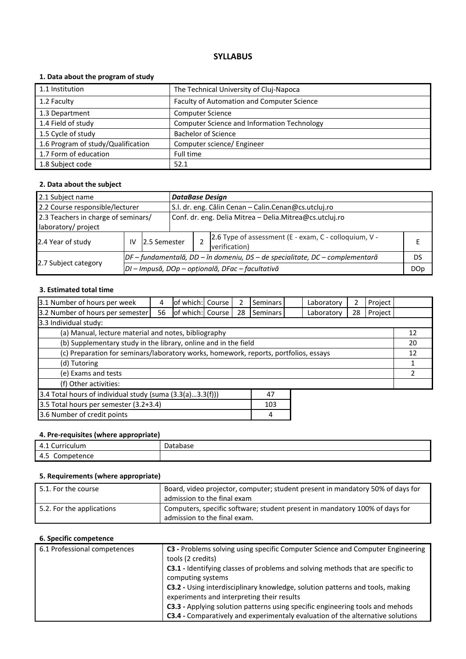# **1. Data about the program of study**

| 1.1 Institution                    | The Technical University of Cluj-Napoca            |
|------------------------------------|----------------------------------------------------|
| 1.2 Faculty                        | Faculty of Automation and Computer Science         |
| 1.3 Department                     | <b>Computer Science</b>                            |
| 1.4 Field of study                 | <b>Computer Science and Information Technology</b> |
| 1.5 Cycle of study                 | <b>Bachelor of Science</b>                         |
| 1.6 Program of study/Qualification | Computer science/ Engineer                         |
| 1.7 Form of education              | Full time                                          |
| 1.8 Subject code                   | 52.1                                               |

### **2. Data about the subject**

| 2.1 Subject name                    |    |                                                  |  | <b>DataBase Design</b>                                  |                                                                              |    |  |  |
|-------------------------------------|----|--------------------------------------------------|--|---------------------------------------------------------|------------------------------------------------------------------------------|----|--|--|
| 2.2 Course responsible/lecturer     |    |                                                  |  | S.I. dr. eng. Călin Cenan - Calin.Cenan@cs.utcluj.ro    |                                                                              |    |  |  |
| 2.3 Teachers in charge of seminars/ |    |                                                  |  | Conf. dr. eng. Delia Mitrea - Delia.Mitrea@cs.utcluj.ro |                                                                              |    |  |  |
| laboratory/ project                 |    |                                                  |  |                                                         |                                                                              |    |  |  |
| 2.4 Year of study                   | IV | 12.5 Semester                                    |  |                                                         | 2.6 Type of assessment (E - exam, C - colloquium, V -<br>verification)       |    |  |  |
|                                     |    |                                                  |  |                                                         | DF – fundamentală, DD – în domeniu, DS – de specialitate, DC – complementară | DS |  |  |
| 2.7 Subject category                |    | DI - Impusă, DOp - opțională, DFac - facultativă |  |                                                         |                                                                              |    |  |  |

# **3. Estimated total time**

| 3.1 Number of hours per week                                                         | 4  | of which: Course |  | 2  | Seminars        |  | Laboratory | 2  | Project |  |
|--------------------------------------------------------------------------------------|----|------------------|--|----|-----------------|--|------------|----|---------|--|
| 3.2 Number of hours per semester                                                     | 56 | of which: Course |  | 28 | <b>Seminars</b> |  | Laboratory | 28 | Project |  |
| 3.3 Individual study:                                                                |    |                  |  |    |                 |  |            |    |         |  |
| (a) Manual, lecture material and notes, bibliography                                 |    |                  |  |    |                 |  |            | 12 |         |  |
| (b) Supplementary study in the library, online and in the field                      |    |                  |  |    |                 |  | 20         |    |         |  |
| (c) Preparation for seminars/laboratory works, homework, reports, portfolios, essays |    |                  |  |    |                 |  | 12         |    |         |  |
| (d) Tutoring                                                                         |    |                  |  |    |                 |  |            |    |         |  |
| (e) Exams and tests                                                                  |    |                  |  |    |                 |  |            |    |         |  |
| (f) Other activities:                                                                |    |                  |  |    |                 |  |            |    |         |  |
| 3.4 Total hours of individual study (suma $(3.3(a)3.3(f)))$<br>47                    |    |                  |  |    |                 |  |            |    |         |  |
| 3.5 Total hours per semester (3.2+3.4)<br>103                                        |    |                  |  |    |                 |  |            |    |         |  |
| 3.6 Number of credit points                                                          |    |                  |  |    | 4               |  |            |    |         |  |

# **4. Pre-requisites (where appropriate)**

| $\overline{\phantom{a}}$<br>urriculum<br>$\Delta$<br>T.L<br>ີ | natahara<br>υd<br>tauase |
|---------------------------------------------------------------|--------------------------|
| - 4.5<br>Competence                                           |                          |

# **5. Requirements (where appropriate)**

| 5.1. For the course       | Board, video projector, computer; student present in mandatory 50% of days for<br>admission to the final exam |
|---------------------------|---------------------------------------------------------------------------------------------------------------|
| 5.2. For the applications | Computers, specific software; student present in mandatory 100% of days for<br>admission to the final exam.   |

| 6.1 Professional competences | C3 - Problems solving using specific Computer Science and Computer Engineering        |  |  |  |  |  |
|------------------------------|---------------------------------------------------------------------------------------|--|--|--|--|--|
|                              | tools (2 credits)                                                                     |  |  |  |  |  |
|                              | C3.1 - Identifying classes of problems and solving methods that are specific to       |  |  |  |  |  |
|                              | computing systems                                                                     |  |  |  |  |  |
|                              | C3.2 - Using interdisciplinary knowledge, solution patterns and tools, making         |  |  |  |  |  |
|                              | experiments and interpreting their results                                            |  |  |  |  |  |
|                              | C3.3 - Applying solution patterns using specific engineering tools and mehods         |  |  |  |  |  |
|                              | <b>C3.4</b> - Comparatively and experimentaly evaluation of the alternative solutions |  |  |  |  |  |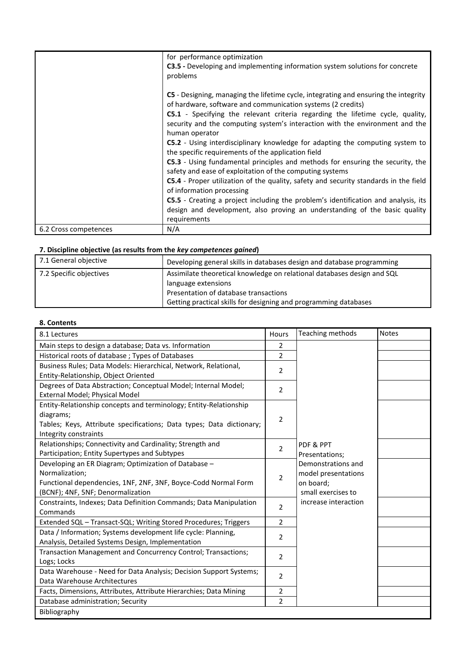|                       | for performance optimization<br><b>C3.5</b> - Developing and implementing information system solutions for concrete<br>problems                                                                                                                                                                                                                                                                                                                                                                                                                                                                                                                                                                                                                                                                                                                                                                                                                                         |
|-----------------------|-------------------------------------------------------------------------------------------------------------------------------------------------------------------------------------------------------------------------------------------------------------------------------------------------------------------------------------------------------------------------------------------------------------------------------------------------------------------------------------------------------------------------------------------------------------------------------------------------------------------------------------------------------------------------------------------------------------------------------------------------------------------------------------------------------------------------------------------------------------------------------------------------------------------------------------------------------------------------|
|                       | C5 - Designing, managing the lifetime cycle, integrating and ensuring the integrity<br>of hardware, software and communication systems (2 credits)<br><b>C5.1</b> - Specifying the relevant criteria regarding the lifetime cycle, quality,<br>security and the computing system's interaction with the environment and the<br>human operator<br><b>C5.2</b> - Using interdisciplinary knowledge for adapting the computing system to<br>the specific requirements of the application field<br><b>C5.3</b> - Using fundamental principles and methods for ensuring the security, the<br>safety and ease of exploitation of the computing systems<br><b>C5.4</b> - Proper utilization of the quality, safety and security standards in the field<br>of information processing<br><b>C5.5</b> - Creating a project including the problem's identification and analysis, its<br>design and development, also proving an understanding of the basic quality<br>requirements |
| 6.2 Cross competences | N/A                                                                                                                                                                                                                                                                                                                                                                                                                                                                                                                                                                                                                                                                                                                                                                                                                                                                                                                                                                     |

| 7.1 General objective   | Developing general skills in databases design and database programming  |
|-------------------------|-------------------------------------------------------------------------|
| 7.2 Specific objectives | Assimilate theoretical knowledge on relational databases design and SQL |
|                         | language extensions                                                     |
|                         | Presentation of database transactions                                   |
|                         | Getting practical skills for designing and programming databases        |

# **8. Contents**

| 8.1 Lectures                                                         | Hours          | Teaching methods     | <b>Notes</b> |
|----------------------------------------------------------------------|----------------|----------------------|--------------|
| Main steps to design a database; Data vs. Information                | $\overline{2}$ |                      |              |
| Historical roots of database; Types of Databases                     | 2              |                      |              |
| Business Rules; Data Models: Hierarchical, Network, Relational,      | $\overline{2}$ |                      |              |
| Entity-Relationship, Object Oriented                                 |                |                      |              |
| Degrees of Data Abstraction; Conceptual Model; Internal Model;       | 2              |                      |              |
| External Model; Physical Model                                       |                |                      |              |
| Entity-Relationship concepts and terminology; Entity-Relationship    |                |                      |              |
| diagrams;                                                            | $\overline{2}$ |                      |              |
| Tables; Keys, Attribute specifications; Data types; Data dictionary; |                |                      |              |
| Integrity constraints                                                |                |                      |              |
| Relationships; Connectivity and Cardinality; Strength and            | $\overline{2}$ | PDF & PPT            |              |
| Participation; Entity Supertypes and Subtypes                        |                | Presentations;       |              |
| Developing an ER Diagram; Optimization of Database -                 |                | Demonstrations and   |              |
| Normalization;                                                       | $\overline{2}$ | model presentations  |              |
| Functional dependencies, 1NF, 2NF, 3NF, Boyce-Codd Normal Form       |                | on board;            |              |
| (BCNF); 4NF, 5NF; Denormalization                                    |                | small exercises to   |              |
| Constraints, Indexes; Data Definition Commands; Data Manipulation    | $\overline{2}$ | increase interaction |              |
| Commands                                                             |                |                      |              |
| Extended SQL - Transact-SQL; Writing Stored Procedures; Triggers     | 2              |                      |              |
| Data / Information; Systems development life cycle: Planning,        | $\overline{2}$ |                      |              |
| Analysis, Detailed Systems Design, Implementation                    |                |                      |              |
| Transaction Management and Concurrency Control; Transactions;        | $\overline{2}$ |                      |              |
| Logs; Locks                                                          |                |                      |              |
| Data Warehouse - Need for Data Analysis; Decision Support Systems;   | 2              |                      |              |
| Data Warehouse Architectures                                         |                |                      |              |
| Facts, Dimensions, Attributes, Attribute Hierarchies; Data Mining    | 2              |                      |              |
| Database administration; Security                                    | $\overline{2}$ |                      |              |
| Bibliography                                                         |                |                      |              |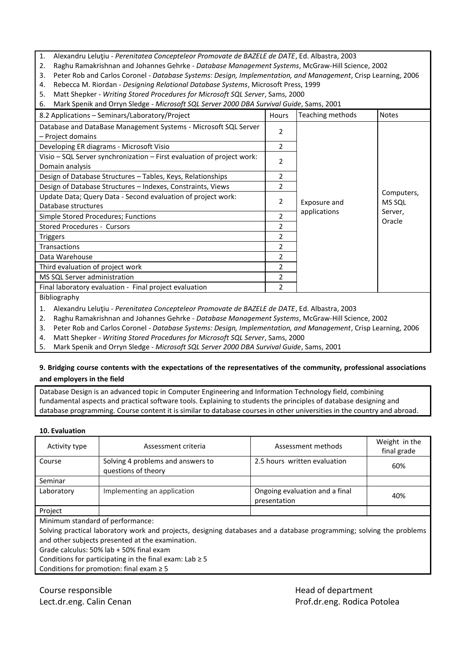- 1. Alexandru Leluţiu *Perenitatea Concepteleor Promovate de BAZELE de DATE*, Ed. Albastra, 2003
- 2. Raghu Ramakrishnan and Johannes Gehrke *Database Management Systems*, McGraw-Hill Science, 2002
- 3. Peter Rob and Carlos Coronel *Database Systems: Design, Implementation, and Management*, Crisp Learning, 2006
- 4. Rebecca M. Riordan *Designing Relational Database Systems*, Microsoft Press, 1999
- 5. Matt Shepker *Writing Stored Procedures for Microsoft SQL Server*, Sams, 2000

6. Mark Spenik and Orryn Sledge - *Microsoft SQL Server 2000 DBA Survival Guide*, Sams, 2001

| 8.2 Applications - Seminars/Laboratory/Project                                              | <b>Hours</b>             | Teaching methods | <b>Notes</b>  |
|---------------------------------------------------------------------------------------------|--------------------------|------------------|---------------|
| Database and DataBase Management Systems - Microsoft SQL Server                             | $\mathcal{P}$            |                  |               |
| - Project domains                                                                           |                          |                  |               |
| Developing ER diagrams - Microsoft Visio                                                    | 2                        |                  |               |
| Visio - SQL Server synchronization - First evaluation of project work:                      | 2                        |                  |               |
| Domain analysis                                                                             |                          |                  |               |
| Design of Database Structures - Tables, Keys, Relationships                                 | 2                        |                  |               |
| Design of Database Structures - Indexes, Constraints, Views                                 | $\mathcal{P}$            |                  |               |
| Update Data; Query Data - Second evaluation of project work:                                | 2                        |                  | Computers,    |
| Database structures                                                                         |                          | Exposure and     | <b>MS SQL</b> |
| Simple Stored Procedures; Functions                                                         | $\overline{\phantom{a}}$ | applications     | Server,       |
| <b>Stored Procedures - Cursors</b>                                                          | 2                        |                  | Oracle        |
| <b>Triggers</b>                                                                             | 2                        |                  |               |
| <b>Transactions</b>                                                                         | 2                        |                  |               |
| Data Warehouse                                                                              | $\overline{2}$           |                  |               |
| Third evaluation of project work                                                            | 2                        |                  |               |
| MS SQL Server administration                                                                | $\mathcal{P}$            |                  |               |
| Final laboratory evaluation - Final project evaluation                                      | $\mathcal{P}$            |                  |               |
| Bibliography                                                                                |                          |                  |               |
| Alexandru Lelutiu - Perenitateg Concenteleor Promovate de BAZELE de DATE Ed. Albastra, 2003 |                          |                  |               |

1. Alexandru Leluţiu - *Perenitatea Concepteleor Promovate de BAZELE de DATE*, Ed. Albastra, 2003

2. Raghu Ramakrishnan and Johannes Gehrke - *Database Management Systems*, McGraw-Hill Science, 2002

3. Peter Rob and Carlos Coronel - *Database Systems: Design, Implementation, and Management*, Crisp Learning, 2006

4. Matt Shepker - *Writing Stored Procedures for Microsoft SQL Server*, Sams, 2000

5. Mark Spenik and Orryn Sledge - *Microsoft SQL Server 2000 DBA Survival Guide*, Sams, 2001

## **9. Bridging course contents with the expectations of the representatives of the community, professional associations and employers in the field**

Database Design is an advanced topic in Computer Engineering and Information Technology field, combining fundamental aspects and practical software tools. Explaining to students the principles of database designing and database programming. Course content it is similar to database courses in other universities in the country and abroad.

#### **10. Evaluation**

| Activity type                    | Assessment criteria                                      | Assessment methods                             | Weight in the<br>final grade |
|----------------------------------|----------------------------------------------------------|------------------------------------------------|------------------------------|
| Course                           | Solving 4 problems and answers to<br>questions of theory | 2.5 hours written evaluation                   | 60%                          |
| Seminar                          |                                                          |                                                |                              |
| Laboratory                       | Implementing an application                              | Ongoing evaluation and a final<br>presentation | 40%                          |
| Project                          |                                                          |                                                |                              |
| .<br>$\sim$ $\sim$ $\sim$ $\sim$ |                                                          |                                                |                              |

Minimum standard of performance:

Solving practical laboratory work and projects, designing databases and a database programming; solving the problems and other subjects presented at the examination.

Grade calculus: 50% lab + 50% final exam

Conditions for participating in the final exam: Lab  $\geq 5$ 

Conditions for promotion: final exam  $\geq 5$ 

Course responsible **Course responsible Head of department** 

Lect.dr.eng. Calin Cenan **Prof.dr.eng. Rodica Potolea** Prof.dr.eng. Rodica Potolea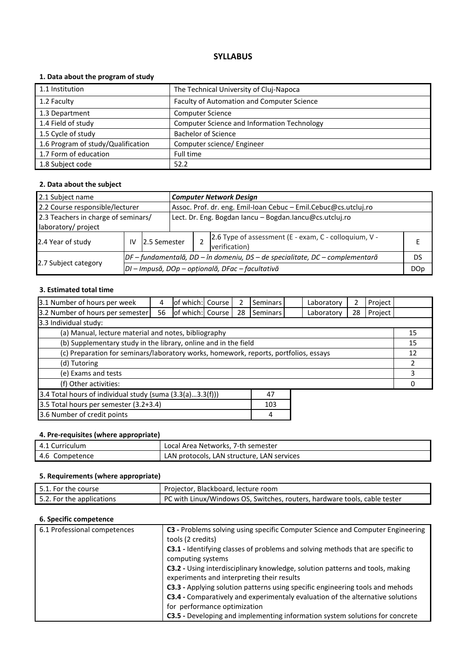# **1. Data about the program of study**

| 1.1 Institution                    | The Technical University of Cluj-Napoca            |
|------------------------------------|----------------------------------------------------|
| 1.2 Faculty                        | Faculty of Automation and Computer Science         |
| 1.3 Department                     | <b>Computer Science</b>                            |
| 1.4 Field of study                 | <b>Computer Science and Information Technology</b> |
| 1.5 Cycle of study                 | <b>Bachelor of Science</b>                         |
| 1.6 Program of study/Qualification | Computer science/ Engineer                         |
| 1.7 Form of education              | Full time                                          |
| 1.8 Subject code                   | 52.2                                               |

### **2. Data about the subject**

| 2.1 Subject name                    |    |                                                  | <b>Computer Network Design</b> |                                                                              |                                                                        |  |  |  |  |  |
|-------------------------------------|----|--------------------------------------------------|--------------------------------|------------------------------------------------------------------------------|------------------------------------------------------------------------|--|--|--|--|--|
| 2.2 Course responsible/lecturer     |    |                                                  |                                | Assoc. Prof. dr. eng. Emil-Ioan Cebuc - Emil.Cebuc@cs.utcluj.ro              |                                                                        |  |  |  |  |  |
| 2.3 Teachers in charge of seminars/ |    |                                                  |                                | Lect. Dr. Eng. Bogdan Iancu - Bogdan.Iancu@cs.utcluj.ro                      |                                                                        |  |  |  |  |  |
| laboratory/ project                 |    |                                                  |                                |                                                                              |                                                                        |  |  |  |  |  |
| 2.4 Year of study                   | IV | 12.5 Semester                                    |                                |                                                                              | 2.6 Type of assessment (E - exam, C - colloquium, V -<br>verification) |  |  |  |  |  |
|                                     |    |                                                  |                                | DF – fundamentală, DD – în domeniu, DS – de specialitate, DC – complementară |                                                                        |  |  |  |  |  |
| 2.7 Subject category                |    | DI - Impusă, DOp - opțională, DFac - facultativă |                                |                                                                              |                                                                        |  |  |  |  |  |

# **3. Estimated total time**

| 3.1 Number of hours per week                                                         | 4  | of which: Course |  | 2  | <b>Seminars</b> |  | Laboratory | 2  | Project |    |
|--------------------------------------------------------------------------------------|----|------------------|--|----|-----------------|--|------------|----|---------|----|
| 3.2 Number of hours per semester                                                     | 56 | of which: Course |  | 28 | <b>Seminars</b> |  | Laboratory | 28 | Project |    |
| 3.3 Individual study:                                                                |    |                  |  |    |                 |  |            |    |         |    |
| (a) Manual, lecture material and notes, bibliography                                 |    |                  |  |    |                 |  |            | 15 |         |    |
| (b) Supplementary study in the library, online and in the field                      |    |                  |  |    |                 |  |            |    |         | 15 |
| (c) Preparation for seminars/laboratory works, homework, reports, portfolios, essays |    |                  |  |    |                 |  | 12         |    |         |    |
| (d) Tutoring                                                                         |    |                  |  |    |                 |  |            |    |         |    |
| (e) Exams and tests                                                                  |    |                  |  |    |                 |  |            | 3  |         |    |
| (f) Other activities:                                                                |    |                  |  |    |                 |  |            |    |         |    |
| 3.4 Total hours of individual study (suma (3.3(a)3.3(f)))<br>47                      |    |                  |  |    |                 |  |            |    |         |    |
| 3.5 Total hours per semester (3.2+3.4)<br>103                                        |    |                  |  |    |                 |  |            |    |         |    |
| 3.6 Number of credit points                                                          |    |                  |  |    | 4               |  |            |    |         |    |

# **4. Pre-requisites (where appropriate)**

| 4.1 Curriculum | Local Area Networks, 7-th semester         |
|----------------|--------------------------------------------|
| 4.6 Competence | LAN protocols, LAN structure, LAN services |

# **5. Requirements (where appropriate)**

| 5.1. For the course       | Projector, Blackboard, lecture room                                       |
|---------------------------|---------------------------------------------------------------------------|
| 5.2. For the applications | PC with Linux/Windows OS, Switches, routers, hardware tools, cable tester |

| 6.1 Professional competences | C3 - Problems solving using specific Computer Science and Computer Engineering<br>tools (2 credits)                         |
|------------------------------|-----------------------------------------------------------------------------------------------------------------------------|
|                              | C3.1 - Identifying classes of problems and solving methods that are specific to<br>computing systems                        |
|                              | C3.2 - Using interdisciplinary knowledge, solution patterns and tools, making<br>experiments and interpreting their results |
|                              | C3.3 - Applying solution patterns using specific engineering tools and mehods                                               |
|                              | <b>C3.4</b> - Comparatively and experimentaly evaluation of the alternative solutions                                       |
|                              | for performance optimization                                                                                                |
|                              | C3.5 - Developing and implementing information system solutions for concrete                                                |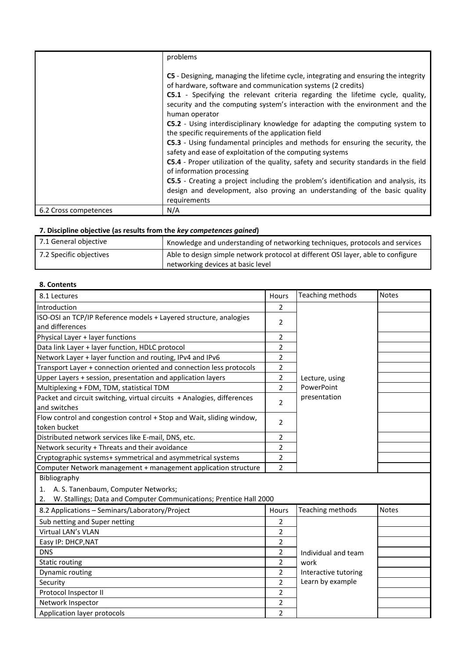|                       | problems                                                                                                                                                                                                                                                                                                                               |
|-----------------------|----------------------------------------------------------------------------------------------------------------------------------------------------------------------------------------------------------------------------------------------------------------------------------------------------------------------------------------|
|                       | C5 - Designing, managing the lifetime cycle, integrating and ensuring the integrity<br>of hardware, software and communication systems (2 credits)<br>C5.1 - Specifying the relevant criteria regarding the lifetime cycle, quality,<br>security and the computing system's interaction with the environment and the<br>human operator |
|                       | <b>C5.2</b> - Using interdisciplinary knowledge for adapting the computing system to<br>the specific requirements of the application field                                                                                                                                                                                             |
|                       | C5.3 - Using fundamental principles and methods for ensuring the security, the<br>safety and ease of exploitation of the computing systems                                                                                                                                                                                             |
|                       | <b>C5.4</b> - Proper utilization of the quality, safety and security standards in the field<br>of information processing                                                                                                                                                                                                               |
|                       | <b>C5.5</b> - Creating a project including the problem's identification and analysis, its<br>design and development, also proving an understanding of the basic quality<br>requirements                                                                                                                                                |
| 6.2 Cross competences | N/A                                                                                                                                                                                                                                                                                                                                    |

| 7.1 General objective   | Knowledge and understanding of networking techniques, protocols and services     |
|-------------------------|----------------------------------------------------------------------------------|
| 7.2 Specific objectives | Able to design simple network protocol at different OSI layer, able to configure |
|                         | networking devices at basic level                                                |

### **8. Contents**

| 8.1 Lectures                                                             | Hours          | Teaching methods     | <b>Notes</b> |
|--------------------------------------------------------------------------|----------------|----------------------|--------------|
| Introduction                                                             | 2              |                      |              |
| ISO-OSI an TCP/IP Reference models + Layered structure, analogies        | 2              |                      |              |
| and differences                                                          |                |                      |              |
| Physical Layer + layer functions                                         | 2              |                      |              |
| Data link Layer + layer function, HDLC protocol                          | 2              |                      |              |
| Network Layer + layer function and routing, IPv4 and IPv6                | $\overline{2}$ |                      |              |
| Transport Layer + connection oriented and connection less protocols      | $\overline{2}$ |                      |              |
| Upper Layers + session, presentation and application layers              | 2              | Lecture, using       |              |
| Multiplexing + FDM, TDM, statistical TDM                                 | $\overline{2}$ | PowerPoint           |              |
| Packet and circuit switching, virtual circuits + Analogies, differences  | $\overline{2}$ | presentation         |              |
| and switches                                                             |                |                      |              |
| Flow control and congestion control + Stop and Wait, sliding window,     | 2              |                      |              |
| token bucket                                                             |                |                      |              |
| Distributed network services like E-mail, DNS, etc.                      | 2              |                      |              |
| Network security + Threats and their avoidance                           | 2              |                      |              |
| Cryptographic systems+ symmetrical and asymmetrical systems              | $\overline{2}$ |                      |              |
| Computer Network management + management application structure           | $\overline{2}$ |                      |              |
| Bibliography                                                             |                |                      |              |
| A. S. Tanenbaum, Computer Networks;<br>1.                                |                |                      |              |
| W. Stallings; Data and Computer Communications; Prentice Hall 2000<br>2. |                |                      |              |
| 8.2 Applications - Seminars/Laboratory/Project                           | Hours          | Teaching methods     | <b>Notes</b> |
| Sub netting and Super netting                                            | 2              |                      |              |
| Virtual LAN's VLAN                                                       | 2              |                      |              |
| Easy IP: DHCP, NAT                                                       | 2              |                      |              |
| <b>DNS</b>                                                               | 2              | Individual and team  |              |
| <b>Static routing</b>                                                    | 2              | work                 |              |
| Dynamic routing                                                          | 2              | Interactive tutoring |              |
| Security                                                                 | $\overline{2}$ | Learn by example     |              |
| Protocol Inspector II                                                    | 2              |                      |              |
| Network Inspector                                                        | $\overline{2}$ |                      |              |
| Application layer protocols                                              | $\overline{2}$ |                      |              |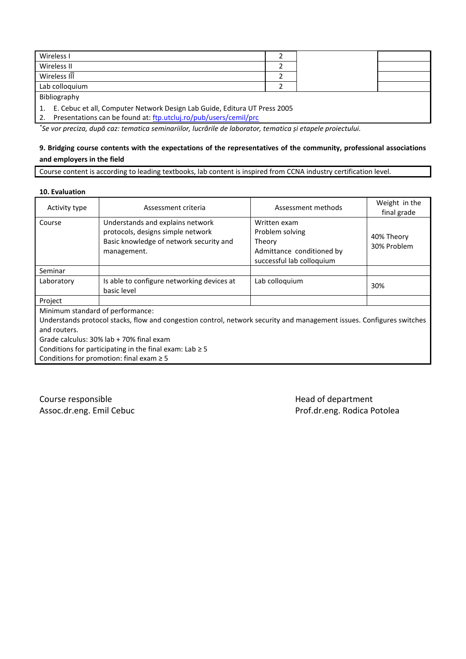| Wireless I                                                                   |  |  |
|------------------------------------------------------------------------------|--|--|
| Wireless II                                                                  |  |  |
| Wireless III                                                                 |  |  |
| Lab colloquium                                                               |  |  |
| Bibliography                                                                 |  |  |
| 1. E. Cebuc et all, Computer Network Design Lab Guide, Editura UT Press 2005 |  |  |

2. Presentations can be found at: [ftp.utcluj.ro/pub/users/cemil/prc](ftp://ftp.utcluj.ro/pub/users/cemil/prc)

*\* Se vor preciza, după caz: tematica seminariilor, lucrările de laborator, tematica și etapele proiectului.*

# **9. Bridging course contents with the expectations of the representatives of the community, professional associations and employers in the field**

Course content is according to leading textbooks, lab content is inspired from CCNA industry certification level.

**10. Evaluation**

| Activity type                    | Assessment criteria                                                                                                             | Assessment methods                                                                                  | Weight in the<br>final grade |
|----------------------------------|---------------------------------------------------------------------------------------------------------------------------------|-----------------------------------------------------------------------------------------------------|------------------------------|
| Course                           | Understands and explains network<br>protocols, designs simple network<br>Basic knowledge of network security and<br>management. | Written exam<br>Problem solving<br>Theory<br>Admittance conditioned by<br>successful lab colloquium | 40% Theory<br>30% Problem    |
| Seminar                          |                                                                                                                                 |                                                                                                     |                              |
| Laboratory                       | Is able to configure networking devices at<br>basic level                                                                       | Lab colloquium                                                                                      | 30%                          |
| Project                          |                                                                                                                                 |                                                                                                     |                              |
| Minimum standard of performance: |                                                                                                                                 |                                                                                                     |                              |
|                                  | Understands protocol stacks, flow and congestion control, network security and management issues. Configures switches           |                                                                                                     |                              |
| and routers.                     |                                                                                                                                 |                                                                                                     |                              |
|                                  | Grade calculus: 30% lab + 70% final exam                                                                                        |                                                                                                     |                              |
|                                  | Conditions for participating in the final exam: Lab $\geq$ 5                                                                    |                                                                                                     |                              |
|                                  | Conditions for promotion: final exam $\geq$ 5                                                                                   |                                                                                                     |                              |

Course responsible **Course responsible Course responsible** and  $\mathbb{R}^n$  and  $\mathbb{R}^n$  and  $\mathbb{R}^n$  and  $\mathbb{R}^n$  and  $\mathbb{R}^n$  and  $\mathbb{R}^n$  and  $\mathbb{R}^n$  and  $\mathbb{R}^n$  and  $\mathbb{R}^n$  and  $\mathbb{R}^n$  are  $\mathbb{R}$ 

Assoc.dr.eng. Emil Cebuc **Prof.dr.eng. Rodica Potolea**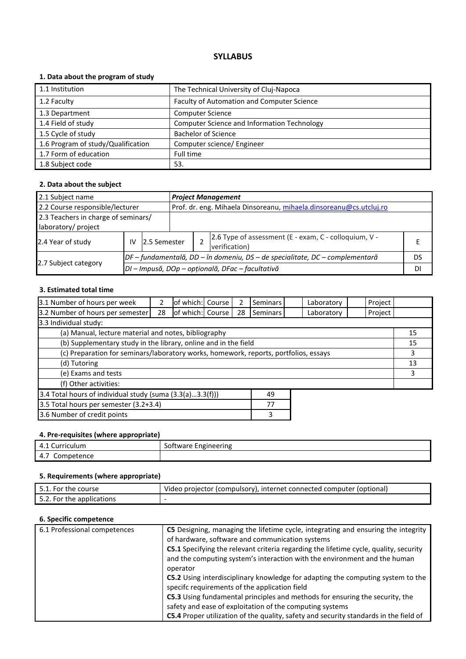# **1. Data about the program of study**

| 1.1 Institution                    | The Technical University of Cluj-Napoca            |
|------------------------------------|----------------------------------------------------|
| 1.2 Faculty                        | Faculty of Automation and Computer Science         |
| 1.3 Department                     | <b>Computer Science</b>                            |
| 1.4 Field of study                 | <b>Computer Science and Information Technology</b> |
| 1.5 Cycle of study                 | <b>Bachelor of Science</b>                         |
| 1.6 Program of study/Qualification | Computer science/ Engineer                         |
| 1.7 Form of education              | Full time                                          |
| 1.8 Subject code                   | 53.                                                |

### **2. Data about the subject**

| 2.1 Subject name                                                             |                                     |              | <b>Project Management</b>                                          |    |                                                                        |  |  |
|------------------------------------------------------------------------------|-------------------------------------|--------------|--------------------------------------------------------------------|----|------------------------------------------------------------------------|--|--|
| 2.2 Course responsible/lecturer                                              |                                     |              | Prof. dr. eng. Mihaela Dinsoreanu, mihaela.dinsoreanu@cs.utcluj.ro |    |                                                                        |  |  |
|                                                                              | 2.3 Teachers in charge of seminars/ |              |                                                                    |    |                                                                        |  |  |
| laboratory/ project                                                          |                                     |              |                                                                    |    |                                                                        |  |  |
| 2.4 Year of study                                                            | IV                                  | 2.5 Semester |                                                                    |    | 2.6 Type of assessment (E - exam, C - colloquium, V -<br>verification) |  |  |
| DF – fundamentală, DD – în domeniu, DS – de specialitate, DC – complementară |                                     |              |                                                                    | DS |                                                                        |  |  |
| 2.7 Subject category<br>DI – Impusă, DOp – opțională, DFac – facultativă     |                                     |              |                                                                    |    | DI                                                                     |  |  |

# **3. Estimated total time**

| 3.1 Number of hours per week                                                         |    | of which: Course |  | 2  | Seminars |    | Laboratory | Project |  |
|--------------------------------------------------------------------------------------|----|------------------|--|----|----------|----|------------|---------|--|
| 3.2 Number of hours per semester                                                     | 28 | of which: Course |  | 28 | Seminars |    | Laboratory | Project |  |
| 3.3 Individual study:                                                                |    |                  |  |    |          |    |            |         |  |
| (a) Manual, lecture material and notes, bibliography                                 |    |                  |  |    |          |    | 15         |         |  |
| (b) Supplementary study in the library, online and in the field                      |    |                  |  |    |          | 15 |            |         |  |
| (c) Preparation for seminars/laboratory works, homework, reports, portfolios, essays |    |                  |  |    |          | 3  |            |         |  |
| (d) Tutoring                                                                         |    |                  |  |    |          |    | 13         |         |  |
| (e) Exams and tests                                                                  |    |                  |  |    |          |    | 3          |         |  |
| (f) Other activities:                                                                |    |                  |  |    |          |    |            |         |  |
| 3.4 Total hours of individual study (suma (3.3(a)3.3(f)))                            |    |                  |  |    | 49       |    |            |         |  |
| 3.5 Total hours per semester (3.2+3.4)                                               |    |                  |  |    | 77       |    |            |         |  |
| 3.6 Number of credit points                                                          |    |                  |  |    | 3        |    |            |         |  |

#### **4. Pre-requisites (where appropriate)**

| .<br>.<br>$\prime$<br>Curriculum<br>−.⊥ | $\overline{\phantom{a}}$<br>ineering<br>Eng<br><br>ּר∩י<br>tware.<br>-- |
|-----------------------------------------|-------------------------------------------------------------------------|
| $\sqrt{ }$<br>mpetence<br>ا∪ب<br>4.7    |                                                                         |

# **5. Requirements (where appropriate)**

| 5.1. For the course       | Video projector (compulsory), internet connected computer (optional) |
|---------------------------|----------------------------------------------------------------------|
| 5.2. For the applications | -                                                                    |

| 6.1 Professional competences | C5 Designing, managing the lifetime cycle, integrating and ensuring the integrity<br>of hardware, software and communication systems                                           |
|------------------------------|--------------------------------------------------------------------------------------------------------------------------------------------------------------------------------|
|                              | C5.1 Specifying the relevant criteria regarding the lifetime cycle, quality, security<br>and the computing system's interaction with the environment and the human<br>operator |
|                              | C5.2 Using interdisciplinary knowledge for adapting the computing system to the<br>specifc requirements of the application field                                               |
|                              | C5.3 Using fundamental principles and methods for ensuring the security, the<br>safety and ease of exploitation of the computing systems                                       |
|                              | C5.4 Proper utilization of the quality, safety and security standards in the field of                                                                                          |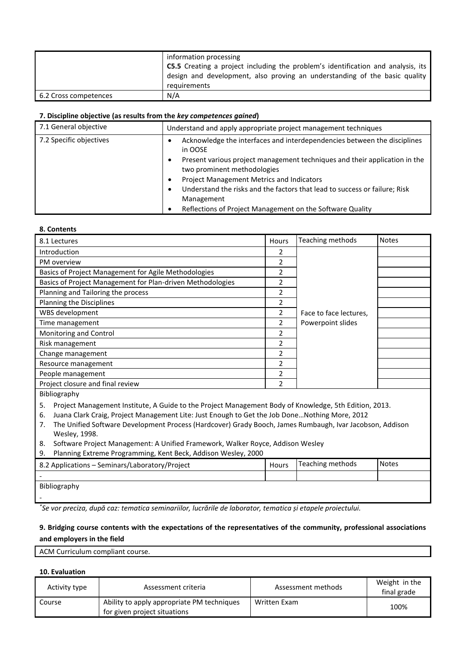|                       | information processing<br><b>C5.5</b> Creating a project including the problem's identification and analysis, its<br>design and development, also proving an understanding of the basic quality |
|-----------------------|-------------------------------------------------------------------------------------------------------------------------------------------------------------------------------------------------|
|                       | requirements                                                                                                                                                                                    |
| 6.2 Cross competences | N/A                                                                                                                                                                                             |

| 7.1 General objective   | Understand and apply appropriate project management techniques                                                 |
|-------------------------|----------------------------------------------------------------------------------------------------------------|
| 7.2 Specific objectives | Acknowledge the interfaces and interdependencies between the disciplines<br>in OOSE                            |
|                         | Present various project management techniques and their application in the<br>٠<br>two prominent methodologies |
|                         | Project Management Metrics and Indicators                                                                      |
|                         | Understand the risks and the factors that lead to success or failure; Risk                                     |
|                         | Management                                                                                                     |
|                         | Reflections of Project Management on the Software Quality                                                      |

#### **8. Contents**

| 8.1 Lectures                                                                                                                                                                                                                                                                                                                                                                                                                                  | Hours          | Teaching methods       | <b>Notes</b> |  |  |
|-----------------------------------------------------------------------------------------------------------------------------------------------------------------------------------------------------------------------------------------------------------------------------------------------------------------------------------------------------------------------------------------------------------------------------------------------|----------------|------------------------|--------------|--|--|
| Introduction                                                                                                                                                                                                                                                                                                                                                                                                                                  | 2              |                        |              |  |  |
| PM overview                                                                                                                                                                                                                                                                                                                                                                                                                                   | $\overline{2}$ |                        |              |  |  |
| Basics of Project Management for Agile Methodologies                                                                                                                                                                                                                                                                                                                                                                                          | $\overline{2}$ |                        |              |  |  |
| Basics of Project Management for Plan-driven Methodologies                                                                                                                                                                                                                                                                                                                                                                                    | 2              |                        |              |  |  |
| Planning and Tailoring the process                                                                                                                                                                                                                                                                                                                                                                                                            | $\overline{2}$ |                        |              |  |  |
| Planning the Disciplines                                                                                                                                                                                                                                                                                                                                                                                                                      | 2              |                        |              |  |  |
| WBS development                                                                                                                                                                                                                                                                                                                                                                                                                               | 2              | Face to face lectures. |              |  |  |
| Time management                                                                                                                                                                                                                                                                                                                                                                                                                               | $\overline{2}$ | Powerpoint slides      |              |  |  |
| Monitoring and Control                                                                                                                                                                                                                                                                                                                                                                                                                        | $\overline{2}$ |                        |              |  |  |
| Risk management                                                                                                                                                                                                                                                                                                                                                                                                                               | 2              |                        |              |  |  |
| Change management                                                                                                                                                                                                                                                                                                                                                                                                                             | 2              |                        |              |  |  |
| Resource management                                                                                                                                                                                                                                                                                                                                                                                                                           | 2              |                        |              |  |  |
| People management                                                                                                                                                                                                                                                                                                                                                                                                                             | 2              |                        |              |  |  |
| Project closure and final review                                                                                                                                                                                                                                                                                                                                                                                                              | $\overline{2}$ |                        |              |  |  |
| Bibliography                                                                                                                                                                                                                                                                                                                                                                                                                                  |                |                        |              |  |  |
| 5.<br>Project Management Institute, A Guide to the Project Management Body of Knowledge, 5th Edition, 2013.<br>Juana Clark Craig, Project Management Lite: Just Enough to Get the Job DoneNothing More, 2012<br>6.<br>The Unified Software Development Process (Hardcover) Grady Booch, James Rumbaugh, Ivar Jacobson, Addison<br>7.<br>Wesley, 1998.<br>Software Project Management: A Unified Framework, Walker Royce, Addison Wesley<br>8. |                |                        |              |  |  |
| Planning Extreme Programming, Kent Beck, Addison Wesley, 2000<br>9.                                                                                                                                                                                                                                                                                                                                                                           |                |                        |              |  |  |
| 8.2 Applications - Seminars/Laboratory/Project                                                                                                                                                                                                                                                                                                                                                                                                | <b>Hours</b>   | Teaching methods       | <b>Notes</b> |  |  |
|                                                                                                                                                                                                                                                                                                                                                                                                                                               |                |                        |              |  |  |
| Bibliography                                                                                                                                                                                                                                                                                                                                                                                                                                  |                |                        |              |  |  |

*\* Se vor preciza, după caz: tematica seminariilor, lucrările de laborator, tematica și etapele proiectului.*

# **9. Bridging course contents with the expectations of the representatives of the community, professional associations and employers in the field**

ACM Curriculum compliant course.

#### **10. Evaluation**

-

| Activity type | Assessment criteria                                                        | Assessment methods | Weight in the<br>final grade |
|---------------|----------------------------------------------------------------------------|--------------------|------------------------------|
| Course        | Ability to apply appropriate PM techniques<br>for given project situations | Written Exam       | 100%                         |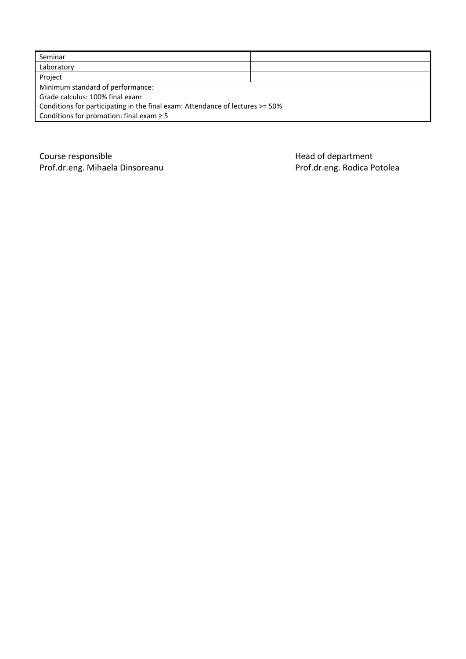| Seminar                                                                       |  |  |  |  |  |  |
|-------------------------------------------------------------------------------|--|--|--|--|--|--|
| Laboratory                                                                    |  |  |  |  |  |  |
| Project                                                                       |  |  |  |  |  |  |
| Minimum standard of performance:                                              |  |  |  |  |  |  |
| Grade calculus: 100% final exam                                               |  |  |  |  |  |  |
| Conditions for participating in the final exam: Attendance of lectures >= 50% |  |  |  |  |  |  |
| Conditions for promotion: final exam $\geq 5$                                 |  |  |  |  |  |  |

Course responsible<br>
Prof.dr.eng. Mihaela Dinsoreanu<br>
Prof.dr.eng. Rodica Potolea Prof.dr.eng. Mihaela Dinsoreanu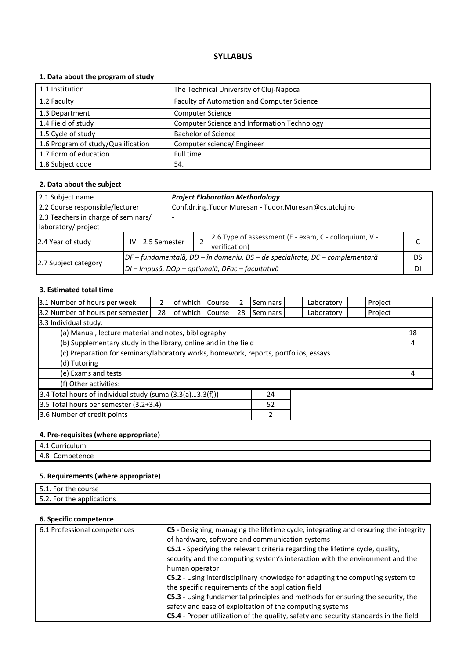# **1. Data about the program of study**

| 1.1 Institution                    | The Technical University of Cluj-Napoca            |
|------------------------------------|----------------------------------------------------|
| 1.2 Faculty                        | Faculty of Automation and Computer Science         |
| 1.3 Department                     | <b>Computer Science</b>                            |
| 1.4 Field of study                 | <b>Computer Science and Information Technology</b> |
| 1.5 Cycle of study                 | <b>Bachelor of Science</b>                         |
| 1.6 Program of study/Qualification | Computer science/ Engineer                         |
| 1.7 Form of education              | Full time                                          |
| 1.8 Subject code                   | 54.                                                |

### **2. Data about the subject**

| 2.1 Subject name<br><b>Project Elaboration Methodology</b> |    |               |  |                                                  |                                                                              |    |  |  |
|------------------------------------------------------------|----|---------------|--|--------------------------------------------------|------------------------------------------------------------------------------|----|--|--|
| 2.2 Course responsible/lecturer                            |    |               |  |                                                  | Conf.dr.ing.Tudor Muresan - Tudor.Muresan@cs.utcluj.ro                       |    |  |  |
| 2.3 Teachers in charge of seminars/                        |    |               |  |                                                  |                                                                              |    |  |  |
| laboratory/ project                                        |    |               |  |                                                  |                                                                              |    |  |  |
| 2.4 Year of study                                          | IV | 12.5 Semester |  |                                                  | 2.6 Type of assessment (E - exam, C - colloquium, V -<br>verification)       |    |  |  |
|                                                            |    |               |  |                                                  | DF – fundamentală, DD – în domeniu, DS – de specialitate, DC – complementară | DS |  |  |
| 2.7 Subject category                                       |    |               |  | DI - Impusă, DOp - opțională, DFac - facultativă |                                                                              |    |  |  |

# **3. Estimated total time**

| 3.1 Number of hours per week                                                         |    | of which: Course    |  |    | <b>Seminars</b> |  | Laboratory | Project |    |
|--------------------------------------------------------------------------------------|----|---------------------|--|----|-----------------|--|------------|---------|----|
| 3.2 Number of hours per semester                                                     | 28 | lof which: Course I |  | 28 | Seminars        |  | Laboratory | Project |    |
| 3.3 Individual study:                                                                |    |                     |  |    |                 |  |            |         |    |
| (a) Manual, lecture material and notes, bibliography                                 |    |                     |  |    |                 |  |            |         | 18 |
| (b) Supplementary study in the library, online and in the field                      |    |                     |  |    |                 |  | 4          |         |    |
| (c) Preparation for seminars/laboratory works, homework, reports, portfolios, essays |    |                     |  |    |                 |  |            |         |    |
| (d) Tutoring                                                                         |    |                     |  |    |                 |  |            |         |    |
| (e) Exams and tests                                                                  |    |                     |  |    |                 |  | 4          |         |    |
| (f) Other activities:                                                                |    |                     |  |    |                 |  |            |         |    |
| 3.4 Total hours of individual study (suma (3.3(a)3.3(f)))                            |    |                     |  |    | 24              |  |            |         |    |
| 3.5 Total hours per semester (3.2+3.4)<br>52                                         |    |                     |  |    |                 |  |            |         |    |

3.6 Number of credit points 2

# **4. Pre-requisites (where appropriate)**

| Curriculum<br>$\mathbf{u}$<br>– ⊶     |  |
|---------------------------------------|--|
| c<br>$-22$<br>etence<br>COLLID<br>— ט |  |

# **5. Requirements (where appropriate)**

| 51<br>. For the course    |  |
|---------------------------|--|
| 5.2. For the applications |  |

| 6.1 Professional competences | C5 - Designing, managing the lifetime cycle, integrating and ensuring the integrity<br>of hardware, software and communication systems |
|------------------------------|----------------------------------------------------------------------------------------------------------------------------------------|
|                              | C5.1 - Specifying the relevant criteria regarding the lifetime cycle, quality,                                                         |
|                              | security and the computing system's interaction with the environment and the                                                           |
|                              | human operator                                                                                                                         |
|                              | C5.2 - Using interdisciplinary knowledge for adapting the computing system to                                                          |
|                              | the specific requirements of the application field                                                                                     |
|                              | C5.3 - Using fundamental principles and methods for ensuring the security, the                                                         |
|                              | safety and ease of exploitation of the computing systems                                                                               |
|                              | C5.4 - Proper utilization of the quality, safety and security standards in the field                                                   |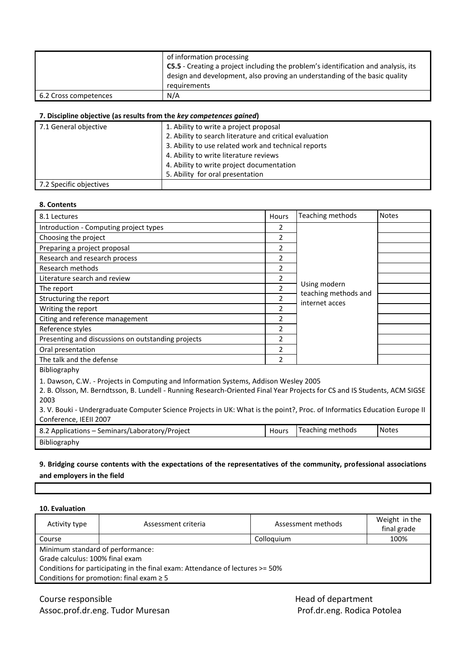|                       | of information processing<br><b>C5.5</b> - Creating a project including the problem's identification and analysis, its<br>design and development, also proving an understanding of the basic quality<br>requirements |
|-----------------------|----------------------------------------------------------------------------------------------------------------------------------------------------------------------------------------------------------------------|
|                       |                                                                                                                                                                                                                      |
| 6.2 Cross competences | N/A                                                                                                                                                                                                                  |

| 7.1 General objective   | 1. Ability to write a project proposal                  |
|-------------------------|---------------------------------------------------------|
|                         | 2. Ability to search literature and critical evaluation |
|                         | 3. Ability to use related work and technical reports    |
|                         | 4. Ability to write literature reviews                  |
|                         | 4. Ability to write project documentation               |
|                         | 5. Ability for oral presentation                        |
| 7.2 Specific objectives |                                                         |

#### **8. Contents**

| 8.1 Lectures                                                                                                                                                                                                                                                                                                                                           | Hours          | Teaching methods                     | <b>Notes</b> |
|--------------------------------------------------------------------------------------------------------------------------------------------------------------------------------------------------------------------------------------------------------------------------------------------------------------------------------------------------------|----------------|--------------------------------------|--------------|
| Introduction - Computing project types                                                                                                                                                                                                                                                                                                                 | 2              |                                      |              |
| Choosing the project                                                                                                                                                                                                                                                                                                                                   | 2              |                                      |              |
| Preparing a project proposal                                                                                                                                                                                                                                                                                                                           | 2              |                                      |              |
| Research and research process                                                                                                                                                                                                                                                                                                                          | $\overline{2}$ |                                      |              |
| Research methods                                                                                                                                                                                                                                                                                                                                       | 2              |                                      |              |
| Literature search and review                                                                                                                                                                                                                                                                                                                           | 2              |                                      |              |
| The report                                                                                                                                                                                                                                                                                                                                             | $\overline{2}$ | Using modern<br>teaching methods and |              |
| Structuring the report                                                                                                                                                                                                                                                                                                                                 | $\overline{2}$ | internet acces                       |              |
| Writing the report                                                                                                                                                                                                                                                                                                                                     | $\overline{2}$ |                                      |              |
| Citing and reference management                                                                                                                                                                                                                                                                                                                        | 2              |                                      |              |
| Reference styles                                                                                                                                                                                                                                                                                                                                       | 2              |                                      |              |
| Presenting and discussions on outstanding projects                                                                                                                                                                                                                                                                                                     | $\overline{2}$ |                                      |              |
| Oral presentation                                                                                                                                                                                                                                                                                                                                      | $\overline{2}$ |                                      |              |
| The talk and the defense                                                                                                                                                                                                                                                                                                                               | $\overline{2}$ |                                      |              |
| Bibliography                                                                                                                                                                                                                                                                                                                                           |                |                                      |              |
| 1. Dawson, C.W. - Projects in Computing and Information Systems, Addison Wesley 2005<br>2. B. Olsson, M. Berndtsson, B. Lundell - Running Research-Oriented Final Year Projects for CS and IS Students, ACM SIGSE<br>2003<br>3. V. Bouki - Undergraduate Computer Science Projects in UK: What is the point?, Proc. of Informatics Education Europe II |                |                                      |              |
| Conference, IEEII 2007                                                                                                                                                                                                                                                                                                                                 |                |                                      |              |
| 8.2 Applications - Seminars/Laboratory/Project                                                                                                                                                                                                                                                                                                         | Hours          | Teaching methods                     | <b>Notes</b> |
| Bibliography                                                                                                                                                                                                                                                                                                                                           |                |                                      |              |

# **9. Bridging course contents with the expectations of the representatives of the community, professional associations and employers in the field**

**10. Evaluation**

| Activity type                                                                 | Assessment criteria | Assessment methods | Weight in the<br>final grade |  |  |
|-------------------------------------------------------------------------------|---------------------|--------------------|------------------------------|--|--|
| 100%<br>Colloguium<br>Course                                                  |                     |                    |                              |  |  |
| Minimum standard of performance:                                              |                     |                    |                              |  |  |
| Grade calculus: 100% final exam                                               |                     |                    |                              |  |  |
| Conditions for participating in the final exam: Attendance of lectures >= 50% |                     |                    |                              |  |  |
| Conditions for promotion: final exam $\geq$ 5                                 |                     |                    |                              |  |  |
|                                                                               |                     |                    |                              |  |  |

Course responsible<br>
Assoc.prof.dr.eng. Tudor Muresan<br>
Assoc.prof.dr.eng. Tudor Muresan<br>
Assoc.prof.dr.eng. Rodica Potolea Assoc.prof.dr.eng. Tudor Muresan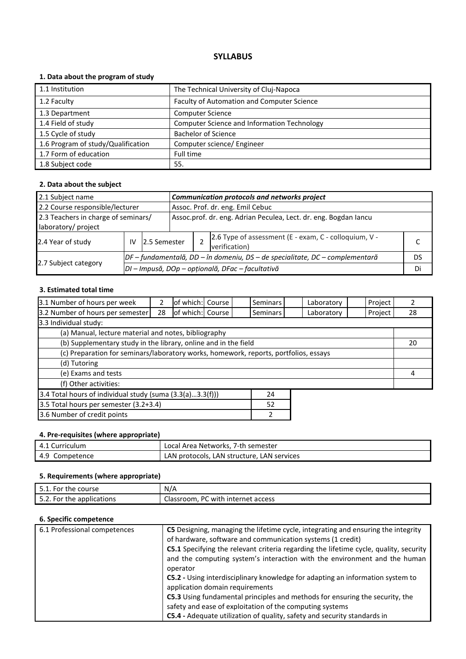# **1. Data about the program of study**

| 1.1 Institution                    | The Technical University of Cluj-Napoca            |
|------------------------------------|----------------------------------------------------|
| 1.2 Faculty                        | Faculty of Automation and Computer Science         |
| 1.3 Department                     | <b>Computer Science</b>                            |
| 1.4 Field of study                 | <b>Computer Science and Information Technology</b> |
| 1.5 Cycle of study                 | <b>Bachelor of Science</b>                         |
| 1.6 Program of study/Qualification | Computer science/ Engineer                         |
| 1.7 Form of education              | Full time                                          |
| 1.8 Subject code                   | 55.                                                |

### **2. Data about the subject**

| 2.1 Subject name                                                             |    |                                                  | Communication protocols and networks project                     |                                  |                                                                        |  |  |
|------------------------------------------------------------------------------|----|--------------------------------------------------|------------------------------------------------------------------|----------------------------------|------------------------------------------------------------------------|--|--|
| 2.2 Course responsible/lecturer                                              |    |                                                  |                                                                  | Assoc. Prof. dr. eng. Emil Cebuc |                                                                        |  |  |
| 2.3 Teachers in charge of seminars/                                          |    |                                                  | Assoc.prof. dr. eng. Adrian Peculea, Lect. dr. eng. Bogdan lancu |                                  |                                                                        |  |  |
| laboratory/ project                                                          |    |                                                  |                                                                  |                                  |                                                                        |  |  |
| 2.4 Year of study                                                            | IV | 12.5 Semester                                    |                                                                  |                                  | 2.6 Type of assessment (E - exam, C - colloquium, V -<br>verification) |  |  |
| DF – fundamentală, DD – în domeniu, DS – de specialitate, DC – complementară |    |                                                  |                                                                  |                                  | DS                                                                     |  |  |
| 2.7 Subject category                                                         |    | DI - Impusă, DOp - opțională, DFac - facultativă |                                                                  |                                  |                                                                        |  |  |

# **3. Estimated total time**

| 3.1 Number of hours per week                                                         |    | of which: Course |  |  | Seminars        | Laboratory | Project |    |
|--------------------------------------------------------------------------------------|----|------------------|--|--|-----------------|------------|---------|----|
| 3.2 Number of hours per semester                                                     | 28 | of which: Course |  |  | <b>Seminars</b> | Laboratory | Project | 28 |
| 3.3 Individual study:                                                                |    |                  |  |  |                 |            |         |    |
| (a) Manual, lecture material and notes, bibliography                                 |    |                  |  |  |                 |            |         |    |
| (b) Supplementary study in the library, online and in the field                      |    |                  |  |  |                 |            |         | 20 |
| (c) Preparation for seminars/laboratory works, homework, reports, portfolios, essays |    |                  |  |  |                 |            |         |    |
| (d) Tutoring                                                                         |    |                  |  |  |                 |            |         |    |
| (e) Exams and tests                                                                  |    |                  |  |  | 4               |            |         |    |
| (f) Other activities:                                                                |    |                  |  |  |                 |            |         |    |
| 3.4 Total hours of individual study (suma $(3.3(a)3.3(f)))$<br>24                    |    |                  |  |  |                 |            |         |    |
| 3.5 Total hours per semester (3.2+3.4)<br>52                                         |    |                  |  |  |                 |            |         |    |
| 3.6 Number of credit points                                                          |    |                  |  |  |                 |            |         |    |

| 4. Pre-requisites (where appropriate) |                                            |  |  |  |  |
|---------------------------------------|--------------------------------------------|--|--|--|--|
| 4.1 Curriculum                        | Local Area Networks, 7-th semester         |  |  |  |  |
| 4.9 Competence                        | LAN protocols, LAN structure, LAN services |  |  |  |  |

# **5. Requirements (where appropriate)**

| . For '<br>the course '<br><u>.</u> | N/A                    |
|-------------------------------------|------------------------|
| につ                                  | -                      |
| . For '                             | - PC                   |
| the applications *                  | . with internet access |
| <b></b>                             | Classroom.             |

| 6.1 Professional competences | C5 Designing, managing the lifetime cycle, integrating and ensuring the integrity<br>of hardware, software and communication systems (1 credit)                                |
|------------------------------|--------------------------------------------------------------------------------------------------------------------------------------------------------------------------------|
|                              | C5.1 Specifying the relevant criteria regarding the lifetime cycle, quality, security<br>and the computing system's interaction with the environment and the human<br>operator |
|                              | C5.2 - Using interdisciplinary knowledge for adapting an information system to<br>application domain requirements                                                              |
|                              | C5.3 Using fundamental principles and methods for ensuring the security, the<br>safety and ease of exploitation of the computing systems                                       |
|                              | C5.4 - Adequate utilization of quality, safety and security standards in                                                                                                       |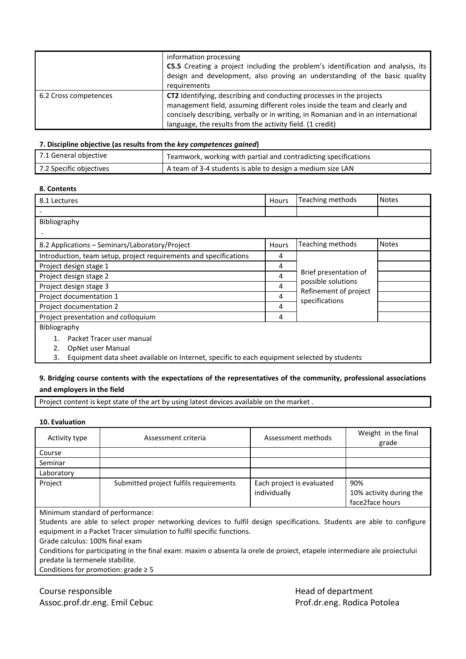|                       | information processing<br><b>C5.5</b> Creating a project including the problem's identification and analysis, its<br>design and development, also proving an understanding of the basic quality<br>requirements                                                                                      |
|-----------------------|------------------------------------------------------------------------------------------------------------------------------------------------------------------------------------------------------------------------------------------------------------------------------------------------------|
| 6.2 Cross competences | CT2 Identifying, describing and conducting processes in the projects<br>management field, assuming different roles inside the team and clearly and<br>concisely describing, verbally or in writing, in Romanian and in an international<br>language, the results from the activity field. (1 credit) |

| 7.1 General objective   | Teamwork, working with partial and contradicting specifications |
|-------------------------|-----------------------------------------------------------------|
| 7.2 Specific objectives | A team of 3-4 students is able to design a medium size LAN      |

# **8. Contents**

| 8.1 Lectures                                                                                      | Hours | Teaching methods                                                                       | <b>Notes</b> |  |  |
|---------------------------------------------------------------------------------------------------|-------|----------------------------------------------------------------------------------------|--------------|--|--|
|                                                                                                   |       |                                                                                        |              |  |  |
| Bibliography                                                                                      |       |                                                                                        |              |  |  |
|                                                                                                   |       |                                                                                        |              |  |  |
| 8.2 Applications – Seminars/Laboratory/Project                                                    | Hours | Teaching methods                                                                       | <b>Notes</b> |  |  |
| Introduction, team setup, project requirements and specifications                                 | 4     |                                                                                        |              |  |  |
| Project design stage 1                                                                            | 4     |                                                                                        |              |  |  |
| Project design stage 2                                                                            |       | Brief presentation of<br>possible solutions<br>Refinement of project<br>specifications |              |  |  |
| Project design stage 3                                                                            |       |                                                                                        |              |  |  |
| Project documentation 1                                                                           |       |                                                                                        |              |  |  |
| Project documentation 2                                                                           | 4     |                                                                                        |              |  |  |
| Project presentation and colloquium                                                               | 4     |                                                                                        |              |  |  |
| Bibliography                                                                                      |       |                                                                                        |              |  |  |
| Packet Tracer user manual                                                                         |       |                                                                                        |              |  |  |
| OpNet user Manual<br>2.                                                                           |       |                                                                                        |              |  |  |
| Equipment data sheet available on Internet, specific to each equipment selected by students<br>3. |       |                                                                                        |              |  |  |

## **9. Bridging course contents with the expectations of the representatives of the community, professional associations and employers in the field**

Project content is kept state of the art by using latest devices available on the market .

#### **10. Evaluation**

| Activity type                    | Assessment criteria                    | Assessment methods                        | Weight in the final<br>grade                      |  |  |  |  |
|----------------------------------|----------------------------------------|-------------------------------------------|---------------------------------------------------|--|--|--|--|
| Course                           |                                        |                                           |                                                   |  |  |  |  |
| Seminar                          |                                        |                                           |                                                   |  |  |  |  |
| Laboratory                       |                                        |                                           |                                                   |  |  |  |  |
| Project                          | Submitted project fulfils requirements | Each project is evaluated<br>individually | 90%<br>10% activity during the<br>face2face hours |  |  |  |  |
| Minimum standard of performance: |                                        |                                           |                                                   |  |  |  |  |

Students are able to select proper networking devices to fulfil design specifications. Students are able to configure equipment in a Packet Tracer simulation to fulfil specific functions.

Grade calculus: 100% final exam

Conditions for participating in the final exam: maxim o absenta la orele de proiect, etapele intermediare ale proiectului predate la termenele stabilite.

Conditions for promotion:  $grade \geq 5$ 

Course responsible **Course responsible Head of department** Assoc.prof.dr.eng. Emil Cebuc **Prof.dr.eng. Rodica Potolea**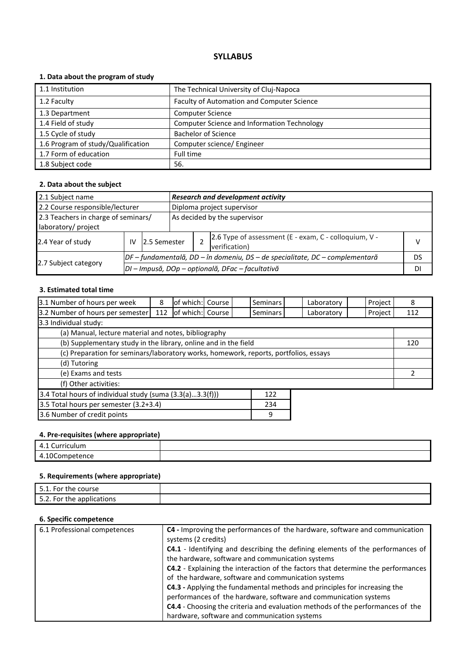# **1. Data about the program of study**

| 1.1 Institution                    | The Technical University of Cluj-Napoca            |
|------------------------------------|----------------------------------------------------|
| 1.2 Faculty                        | Faculty of Automation and Computer Science         |
| 1.3 Department                     | <b>Computer Science</b>                            |
| 1.4 Field of study                 | <b>Computer Science and Information Technology</b> |
| 1.5 Cycle of study                 | <b>Bachelor of Science</b>                         |
| 1.6 Program of study/Qualification | Computer science/ Engineer                         |
| 1.7 Form of education              | Full time                                          |
| 1.8 Subject code                   | 56.                                                |

### **2. Data about the subject**

| 2.1 Subject name                    |    |                                                  |                                                                              | <b>Research and development activity</b> |                                                                        |   |  |  |
|-------------------------------------|----|--------------------------------------------------|------------------------------------------------------------------------------|------------------------------------------|------------------------------------------------------------------------|---|--|--|
| 2.2 Course responsible/lecturer     |    |                                                  | Diploma project supervisor                                                   |                                          |                                                                        |   |  |  |
| 2.3 Teachers in charge of seminars/ |    |                                                  |                                                                              | As decided by the supervisor             |                                                                        |   |  |  |
| laboratory/ project                 |    |                                                  |                                                                              |                                          |                                                                        |   |  |  |
| 2.4 Year of study                   | IV | 12.5 Semester                                    |                                                                              |                                          | 2.6 Type of assessment (E - exam, C - colloquium, V -<br>verification) | v |  |  |
|                                     |    |                                                  | DF – fundamentală, DD – în domeniu, DS – de specialitate, DC – complementară |                                          |                                                                        |   |  |  |
| 2.7 Subject category                |    | DI - Impusă, DOp - opțională, DFac - facultativă |                                                                              |                                          |                                                                        |   |  |  |

# **3. Estimated total time**

| 3.1 Number of hours per week                                                         | 8   | of which: Course |  |  | Seminars |  | Laboratory | Project | 8   |
|--------------------------------------------------------------------------------------|-----|------------------|--|--|----------|--|------------|---------|-----|
| 3.2 Number of hours per semester                                                     | 112 | of which: Course |  |  | Seminars |  | Laboratory | Project | 112 |
| 3.3 Individual study:                                                                |     |                  |  |  |          |  |            |         |     |
| (a) Manual, lecture material and notes, bibliography                                 |     |                  |  |  |          |  |            |         |     |
| (b) Supplementary study in the library, online and in the field                      |     |                  |  |  |          |  | 120        |         |     |
| (c) Preparation for seminars/laboratory works, homework, reports, portfolios, essays |     |                  |  |  |          |  |            |         |     |
| (d) Tutoring                                                                         |     |                  |  |  |          |  |            |         |     |
| (e) Exams and tests                                                                  |     |                  |  |  |          |  |            |         |     |
| (f) Other activities:                                                                |     |                  |  |  |          |  |            |         |     |
| 3.4 Total hours of individual study (suma (3.3(a)3.3(f)))<br>122                     |     |                  |  |  |          |  |            |         |     |
| 3.5 Total hours per semester (3.2+3.4)<br>234                                        |     |                  |  |  |          |  |            |         |     |

3.6 Number of credit points and a set of credit points and a set of credit points of the set of the set of the set of the set of the set of the set of the set of the set of the set of the set of the set of the set of the s

### **4. Pre-requisites (where appropriate)**

| -<br>- 4<br>iculum<br>$\overline{ }$<br>$\overline{\phantom{a}}$<br>– ⊶ |  |
|-------------------------------------------------------------------------|--|
| $\overline{a}$<br>$\overline{\phantom{a}}$<br>$-1$<br>≃⊓u⊾              |  |

# **5. Requirements (where appropriate)**

| 51<br>5.1. For the course       |  |
|---------------------------------|--|
| につ<br>5.2. For the applications |  |

| 6.1 Professional competences | C4 - Improving the performances of the hardware, software and communication<br>systems (2 credits) |
|------------------------------|----------------------------------------------------------------------------------------------------|
|                              | C4.1 - Identifying and describing the defining elements of the performances of                     |
|                              | the hardware, software and communication systems                                                   |
|                              | C4.2 - Explaining the interaction of the factors that determine the performances                   |
|                              | of the hardware, software and communication systems                                                |
|                              | C4.3 - Applying the fundamental methods and principles for increasing the                          |
|                              | performances of the hardware, software and communication systems                                   |
|                              | C4.4 - Choosing the criteria and evaluation methods of the performances of the                     |
|                              | hardware, software and communication systems                                                       |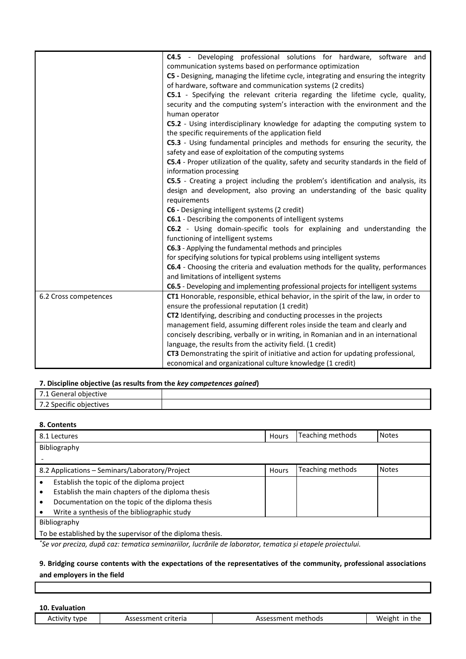|                       | C4.5 - Developing professional solutions for hardware, software and                     |  |  |  |  |  |  |  |  |
|-----------------------|-----------------------------------------------------------------------------------------|--|--|--|--|--|--|--|--|
|                       | communication systems based on performance optimization                                 |  |  |  |  |  |  |  |  |
|                       | C5 - Designing, managing the lifetime cycle, integrating and ensuring the integrity     |  |  |  |  |  |  |  |  |
|                       | of hardware, software and communication systems (2 credits)                             |  |  |  |  |  |  |  |  |
|                       | C5.1 - Specifying the relevant criteria regarding the lifetime cycle, quality,          |  |  |  |  |  |  |  |  |
|                       | security and the computing system's interaction with the environment and the            |  |  |  |  |  |  |  |  |
|                       | human operator                                                                          |  |  |  |  |  |  |  |  |
|                       | C5.2 - Using interdisciplinary knowledge for adapting the computing system to           |  |  |  |  |  |  |  |  |
|                       | the specific requirements of the application field                                      |  |  |  |  |  |  |  |  |
|                       | C5.3 - Using fundamental principles and methods for ensuring the security, the          |  |  |  |  |  |  |  |  |
|                       | safety and ease of exploitation of the computing systems                                |  |  |  |  |  |  |  |  |
|                       | C5.4 - Proper utilization of the quality, safety and security standards in the field of |  |  |  |  |  |  |  |  |
|                       | information processing                                                                  |  |  |  |  |  |  |  |  |
|                       | C5.5 - Creating a project including the problem's identification and analysis, its      |  |  |  |  |  |  |  |  |
|                       | design and development, also proving an understanding of the basic quality              |  |  |  |  |  |  |  |  |
|                       | requirements                                                                            |  |  |  |  |  |  |  |  |
|                       | C6 - Designing intelligent systems (2 credit)                                           |  |  |  |  |  |  |  |  |
|                       | C6.1 - Describing the components of intelligent systems                                 |  |  |  |  |  |  |  |  |
|                       | C6.2 - Using domain-specific tools for explaining and understanding the                 |  |  |  |  |  |  |  |  |
|                       | functioning of intelligent systems                                                      |  |  |  |  |  |  |  |  |
|                       | C6.3 - Applying the fundamental methods and principles                                  |  |  |  |  |  |  |  |  |
|                       | for specifying solutions for typical problems using intelligent systems                 |  |  |  |  |  |  |  |  |
|                       | C6.4 - Choosing the criteria and evaluation methods for the quality, performances       |  |  |  |  |  |  |  |  |
|                       | and limitations of intelligent systems                                                  |  |  |  |  |  |  |  |  |
|                       | C6.5 - Developing and implementing professional projects for intelligent systems        |  |  |  |  |  |  |  |  |
| 6.2 Cross competences | CT1 Honorable, responsible, ethical behavior, in the spirit of the law, in order to     |  |  |  |  |  |  |  |  |
|                       | ensure the professional reputation (1 credit)                                           |  |  |  |  |  |  |  |  |
|                       | CT2 Identifying, describing and conducting processes in the projects                    |  |  |  |  |  |  |  |  |
|                       | management field, assuming different roles inside the team and clearly and              |  |  |  |  |  |  |  |  |
|                       | concisely describing, verbally or in writing, in Romanian and in an international       |  |  |  |  |  |  |  |  |
|                       | language, the results from the activity field. (1 credit)                               |  |  |  |  |  |  |  |  |
|                       | CT3 Demonstrating the spirit of initiative and action for updating professional,        |  |  |  |  |  |  |  |  |
|                       | economical and organizational culture knowledge (1 credit)                              |  |  |  |  |  |  |  |  |

| 7 <sub>1</sub><br>ective<br>.<br>. |  |
|------------------------------------|--|
| z Specific objects:<br>iectives    |  |

# **8. Contents**

|                                                   | 8.1 Lectures                                               | Hours | Teaching methods | <b>Notes</b> |  |  |
|---------------------------------------------------|------------------------------------------------------------|-------|------------------|--------------|--|--|
|                                                   | Bibliography                                               |       |                  |              |  |  |
|                                                   |                                                            |       |                  |              |  |  |
|                                                   | 8.2 Applications – Seminars/Laboratory/Project             | Hours | Teaching methods | <b>Notes</b> |  |  |
|                                                   | Establish the topic of the diploma project                 |       |                  |              |  |  |
| Establish the main chapters of the diploma thesis |                                                            |       |                  |              |  |  |
|                                                   | Documentation on the topic of the diploma thesis           |       |                  |              |  |  |
|                                                   | Write a synthesis of the bibliographic study               |       |                  |              |  |  |
|                                                   | Bibliography                                               |       |                  |              |  |  |
|                                                   | To be established by the supervisor of the diploma thesis. |       |                  |              |  |  |
|                                                   |                                                            |       |                  |              |  |  |

*\* Se vor preciza, după caz: tematica seminariilor, lucrările de laborator, tematica și etapele proiectului.*

# **9. Bridging course contents with the expectations of the representatives of the community, professional associations and employers in the field**

**10. Evaluation**

 $\Gamma$ 

| :vne<br>ACTIVI <sup>+</sup><br>ר - | criteria<br>$\sim$ $\sim$ $\sim$ $\sim$ $+$<br>sessmen <del>e د</del><br>__ | methods<br>$n$ ccm $\alpha$<br>ne.<br>∵>دد.<br>55 L.<br>- - - | in the<br>Weigh <sup>+</sup> |
|------------------------------------|-----------------------------------------------------------------------------|---------------------------------------------------------------|------------------------------|
|                                    |                                                                             |                                                               |                              |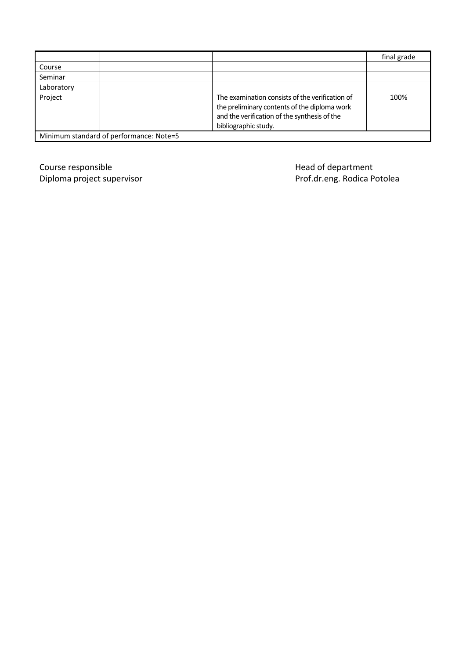|            |                                         |                                                                                                                                                                         | final grade |
|------------|-----------------------------------------|-------------------------------------------------------------------------------------------------------------------------------------------------------------------------|-------------|
| Course     |                                         |                                                                                                                                                                         |             |
| Seminar    |                                         |                                                                                                                                                                         |             |
| Laboratory |                                         |                                                                                                                                                                         |             |
| Project    |                                         | The examination consists of the verification of<br>the preliminary contents of the diploma work<br>and the verification of the synthesis of the<br>bibliographic study. | 100%        |
|            | Minimum standard of performance: Note=5 |                                                                                                                                                                         |             |

Course responsible<br>
Diploma project supervisor<br>
Diploma project supervisor<br>
Head of department

Prof.dr.eng. Rodica Potolea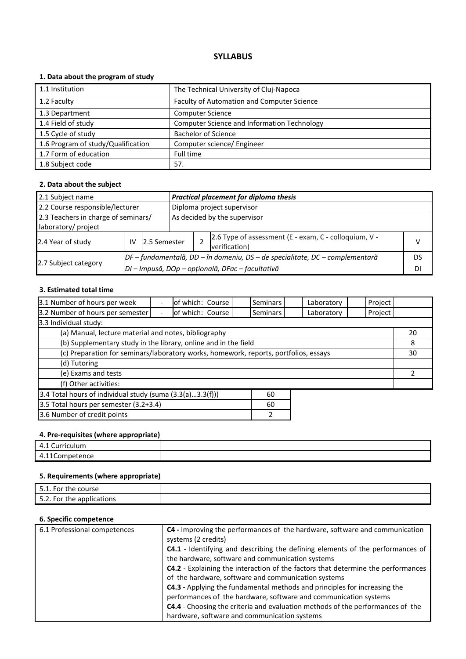# **1. Data about the program of study**

| 1.1 Institution                    | The Technical University of Cluj-Napoca            |
|------------------------------------|----------------------------------------------------|
| 1.2 Faculty                        | Faculty of Automation and Computer Science         |
| 1.3 Department                     | <b>Computer Science</b>                            |
| 1.4 Field of study                 | <b>Computer Science and Information Technology</b> |
| 1.5 Cycle of study                 | <b>Bachelor of Science</b>                         |
| 1.6 Program of study/Qualification | Computer science/ Engineer                         |
| 1.7 Form of education              | Full time                                          |
| 1.8 Subject code                   | 57.                                                |

### **2. Data about the subject**

| 2.1 Subject name                    |                                                                                |                                                  |                            | Practical placement for diploma thesis |                                                                        |    |  |  |
|-------------------------------------|--------------------------------------------------------------------------------|--------------------------------------------------|----------------------------|----------------------------------------|------------------------------------------------------------------------|----|--|--|
| 2.2 Course responsible/lecturer     |                                                                                |                                                  | Diploma project supervisor |                                        |                                                                        |    |  |  |
| 2.3 Teachers in charge of seminars/ |                                                                                |                                                  |                            | As decided by the supervisor           |                                                                        |    |  |  |
| laboratory/ project                 |                                                                                |                                                  |                            |                                        |                                                                        |    |  |  |
| 2.4 Year of study<br>IV             |                                                                                | 12.5 Semester                                    |                            |                                        | 2.6 Type of assessment (E - exam, C - colloquium, V -<br>verification) | v  |  |  |
|                                     | $DF$ – fundamentală, DD – în domeniu, DS – de specialitate, DC – complementară |                                                  |                            |                                        |                                                                        | DS |  |  |
| 2.7 Subject category                |                                                                                | DI – Impusă, DOp – opțională, DFac – facultativă |                            |                                        |                                                                        |    |  |  |

# **3. Estimated total time**

| 3.1 Number of hours per week                                                         |  | of which: Course  |  |  | Seminars        |  | Laboratory | Project |    |
|--------------------------------------------------------------------------------------|--|-------------------|--|--|-----------------|--|------------|---------|----|
| 3.2 Number of hours per semester                                                     |  | lof which: course |  |  | <b>Seminars</b> |  | Laboratory | Project |    |
| 3.3 Individual study:                                                                |  |                   |  |  |                 |  |            |         |    |
| (a) Manual, lecture material and notes, bibliography                                 |  |                   |  |  |                 |  |            |         | 20 |
| (b) Supplementary study in the library, online and in the field                      |  |                   |  |  |                 |  | 8          |         |    |
| (c) Preparation for seminars/laboratory works, homework, reports, portfolios, essays |  |                   |  |  |                 |  | 30         |         |    |
| (d) Tutoring                                                                         |  |                   |  |  |                 |  |            |         |    |
| (e) Exams and tests                                                                  |  |                   |  |  |                 |  |            |         |    |
| (f) Other activities:                                                                |  |                   |  |  |                 |  |            |         |    |
| 3.4 Total hours of individual study (suma (3.3(a)3.3(f)))<br>60                      |  |                   |  |  |                 |  |            |         |    |
| 3.5 Total hours per semester (3.2+3.4)<br>60                                         |  |                   |  |  |                 |  |            |         |    |
|                                                                                      |  |                   |  |  |                 |  |            |         |    |

3.6 Number of credit points 2

# **4. Pre-requisites (where appropriate)**

| -<br>- 4<br>.<br>iculum<br>-<br>$\overline{\phantom{a}}$<br>– ∴ |  |
|-----------------------------------------------------------------|--|
| $\overline{ }$<br>$-1 - 1$<br>20 I LE<br>                       |  |

# **5. Requirements (where appropriate)**

| 51<br>5.1. For the course       |  |
|---------------------------------|--|
| につ<br>5.2. For the applications |  |

| 6.1 Professional competences | C4 - Improving the performances of the hardware, software and communication<br>systems (2 credits) |
|------------------------------|----------------------------------------------------------------------------------------------------|
|                              | C4.1 - Identifying and describing the defining elements of the performances of                     |
|                              | the hardware, software and communication systems                                                   |
|                              | C4.2 - Explaining the interaction of the factors that determine the performances                   |
|                              | of the hardware, software and communication systems                                                |
|                              | C4.3 - Applying the fundamental methods and principles for increasing the                          |
|                              | performances of the hardware, software and communication systems                                   |
|                              | C4.4 - Choosing the criteria and evaluation methods of the performances of the                     |
|                              | hardware, software and communication systems                                                       |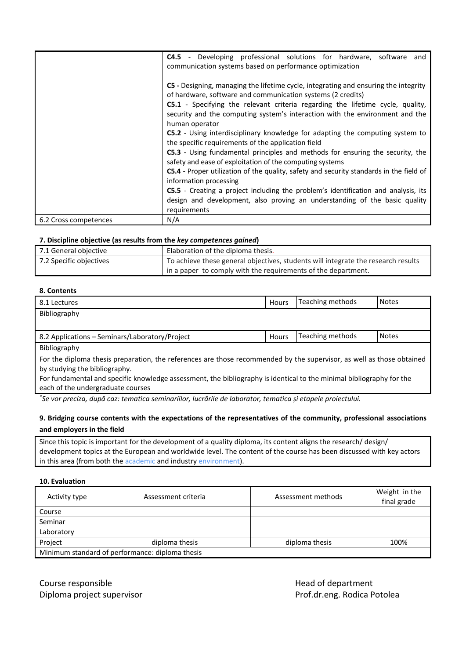|                       | <b>C4.5</b> - Developing professional solutions for hardware, software and                                                                                                                                                                                                                                                                                   |  |  |  |  |  |
|-----------------------|--------------------------------------------------------------------------------------------------------------------------------------------------------------------------------------------------------------------------------------------------------------------------------------------------------------------------------------------------------------|--|--|--|--|--|
|                       | communication systems based on performance optimization                                                                                                                                                                                                                                                                                                      |  |  |  |  |  |
|                       |                                                                                                                                                                                                                                                                                                                                                              |  |  |  |  |  |
|                       | <b>C5</b> - Designing, managing the lifetime cycle, integrating and ensuring the integrity                                                                                                                                                                                                                                                                   |  |  |  |  |  |
|                       | of hardware, software and communication systems (2 credits)                                                                                                                                                                                                                                                                                                  |  |  |  |  |  |
|                       | <b>C5.1</b> - Specifying the relevant criteria regarding the lifetime cycle, quality,                                                                                                                                                                                                                                                                        |  |  |  |  |  |
|                       | security and the computing system's interaction with the environment and the                                                                                                                                                                                                                                                                                 |  |  |  |  |  |
|                       | human operator                                                                                                                                                                                                                                                                                                                                               |  |  |  |  |  |
|                       | <b>C5.2</b> - Using interdisciplinary knowledge for adapting the computing system to                                                                                                                                                                                                                                                                         |  |  |  |  |  |
|                       | the specific requirements of the application field                                                                                                                                                                                                                                                                                                           |  |  |  |  |  |
|                       | C5.3 - Using fundamental principles and methods for ensuring the security, the<br>safety and ease of exploitation of the computing systems<br><b>C5.4</b> - Proper utilization of the quality, safety and security standards in the field of<br>information processing<br>C5.5 - Creating a project including the problem's identification and analysis, its |  |  |  |  |  |
|                       |                                                                                                                                                                                                                                                                                                                                                              |  |  |  |  |  |
|                       |                                                                                                                                                                                                                                                                                                                                                              |  |  |  |  |  |
|                       |                                                                                                                                                                                                                                                                                                                                                              |  |  |  |  |  |
|                       |                                                                                                                                                                                                                                                                                                                                                              |  |  |  |  |  |
|                       | design and development, also proving an understanding of the basic quality                                                                                                                                                                                                                                                                                   |  |  |  |  |  |
|                       | requirements                                                                                                                                                                                                                                                                                                                                                 |  |  |  |  |  |
| 6.2 Cross competences | N/A                                                                                                                                                                                                                                                                                                                                                          |  |  |  |  |  |

| 7.1 General objective   | Elaboration of the diploma thesis.                                                |
|-------------------------|-----------------------------------------------------------------------------------|
| 7.2 Specific objectives | To achieve these general objectives, students will integrate the research results |
|                         | I in a paper to comply with the requirements of the department.                   |

# **8. Contents**

| 8.1 Lectures                                                                                                          | Hours | Teaching methods | <b>Notes</b> |
|-----------------------------------------------------------------------------------------------------------------------|-------|------------------|--------------|
| Bibliography                                                                                                          |       |                  |              |
|                                                                                                                       |       |                  |              |
| 8.2 Applications - Seminars/Laboratory/Project                                                                        | Hours | Teaching methods | <b>Notes</b> |
| Bibliography                                                                                                          |       |                  |              |
| For the diploma thesis preparation, the references are those recommended by the supervisor, as well as those obtained |       |                  |              |
| by studying the bibliography.                                                                                         |       |                  |              |

For fundamental and specific knowledge assessment, the bibliography is identical to the minimal bibliography for the each of the undergraduate courses

*\* Se vor preciza, după caz: tematica seminariilor, lucrările de laborator, tematica și etapele proiectului.*

# **9. Bridging course contents with the expectations of the representatives of the community, professional associations and employers in the field**

Since this topic is important for the development of a quality diploma, its content aligns the research/ design/ development topics at the European and worldwide level. The content of the course has been discussed with key actors in this area (from both the academic and industry environment).

#### **10. Evaluation**

| Activity type                                   | Assessment criteria | Assessment methods | Weight in the<br>final grade |  |  |  |
|-------------------------------------------------|---------------------|--------------------|------------------------------|--|--|--|
| Course                                          |                     |                    |                              |  |  |  |
| Seminar                                         |                     |                    |                              |  |  |  |
| Laboratory                                      |                     |                    |                              |  |  |  |
| Project                                         | diploma thesis      | diploma thesis     | 100%                         |  |  |  |
| Minimum standard of performance: diploma thesis |                     |                    |                              |  |  |  |

Course responsible **Course and Course responsible** and Course are the Head of department Diploma project supervisor **Prof.dr.eng. Rodica Potolea**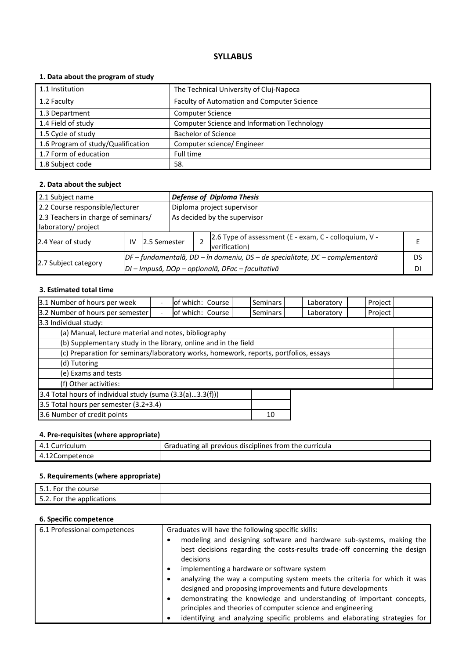# **1. Data about the program of study**

| 1.1 Institution                    | The Technical University of Cluj-Napoca            |
|------------------------------------|----------------------------------------------------|
| 1.2 Faculty                        | Faculty of Automation and Computer Science         |
| 1.3 Department                     | <b>Computer Science</b>                            |
| 1.4 Field of study                 | <b>Computer Science and Information Technology</b> |
| 1.5 Cycle of study                 | <b>Bachelor of Science</b>                         |
| 1.6 Program of study/Qualification | Computer science/ Engineer                         |
| 1.7 Form of education              | Full time                                          |
| 1.8 Subject code                   | 58.                                                |

### **2. Data about the subject**

| 2.1 Subject name                    |                                                  |                                                                              | <b>Defense of Diploma Thesis</b> |                            |                                                                        |    |  |  |
|-------------------------------------|--------------------------------------------------|------------------------------------------------------------------------------|----------------------------------|----------------------------|------------------------------------------------------------------------|----|--|--|
| 2.2 Course responsible/lecturer     |                                                  |                                                                              |                                  | Diploma project supervisor |                                                                        |    |  |  |
| 2.3 Teachers in charge of seminars/ |                                                  |                                                                              | As decided by the supervisor     |                            |                                                                        |    |  |  |
| laboratory/ project                 |                                                  |                                                                              |                                  |                            |                                                                        |    |  |  |
| 2.4 Year of study                   | IV                                               | 12.5 Semester                                                                |                                  |                            | 2.6 Type of assessment (E - exam, C - colloquium, V -<br>verification) |    |  |  |
|                                     |                                                  | DF – fundamentală, DD – în domeniu, DS – de specialitate, DC – complementară |                                  |                            |                                                                        |    |  |  |
| 2.7 Subject category                | DI - Impusă, DOp - opțională, DFac - facultativă |                                                                              |                                  |                            |                                                                        | DI |  |  |

# **3. Estimated total time**

| 3.1 Number of hours per week                                                         | $\overline{a}$           | of which: Course |  |  | Seminars        |  | Laboratory | Project |  |
|--------------------------------------------------------------------------------------|--------------------------|------------------|--|--|-----------------|--|------------|---------|--|
| 3.2 Number of hours per semester                                                     | $\overline{\phantom{0}}$ | of which: Course |  |  | <b>Seminars</b> |  | Laboratory | Project |  |
| 3.3 Individual study:                                                                |                          |                  |  |  |                 |  |            |         |  |
| (a) Manual, lecture material and notes, bibliography                                 |                          |                  |  |  |                 |  |            |         |  |
| (b) Supplementary study in the library, online and in the field                      |                          |                  |  |  |                 |  |            |         |  |
| (c) Preparation for seminars/laboratory works, homework, reports, portfolios, essays |                          |                  |  |  |                 |  |            |         |  |
| (d) Tutoring                                                                         |                          |                  |  |  |                 |  |            |         |  |
| (e) Exams and tests                                                                  |                          |                  |  |  |                 |  |            |         |  |
| (f) Other activities:                                                                |                          |                  |  |  |                 |  |            |         |  |
| 3.4 Total hours of individual study (suma $(3.3(a)3.3(f)))$                          |                          |                  |  |  |                 |  |            |         |  |
| 3.5 Total hours per semester (3.2+3.4)                                               |                          |                  |  |  |                 |  |            |         |  |
| 3.6 Number of credit points<br>10                                                    |                          |                  |  |  |                 |  |            |         |  |

# **4. Pre-requisites (where appropriate)**

| 4.1 Curriculum | <sup>1</sup> Graduating all previous disciplines from the curricula |
|----------------|---------------------------------------------------------------------|
| 4.12Competence |                                                                     |

# **5. Requirements (where appropriate)**

| 51<br>. For the course          |  |
|---------------------------------|--|
| 52<br>5.2. For the applications |  |

| 6.1 Professional competences | Graduates will have the following specific skills:<br>modeling and designing software and hardware sub-systems, making the<br>best decisions regarding the costs-results trade-off concerning the design<br>decisions<br>implementing a hardware or software system                                                                                               |
|------------------------------|-------------------------------------------------------------------------------------------------------------------------------------------------------------------------------------------------------------------------------------------------------------------------------------------------------------------------------------------------------------------|
|                              | analyzing the way a computing system meets the criteria for which it was<br>designed and proposing improvements and future developments<br>demonstrating the knowledge and understanding of important concepts,<br>٠<br>principles and theories of computer science and engineering<br>identifying and analyzing specific problems and elaborating strategies for |